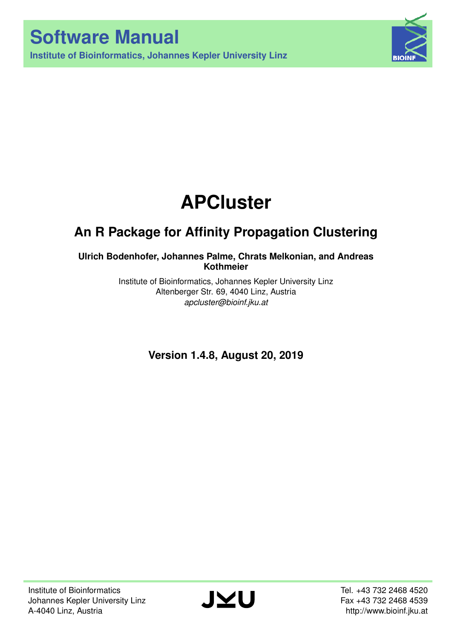**Institute of Bioinformatics, Johannes Kepler University Linz**



# **APCluster**

## **An R Package for Affinity Propagation Clustering**

## **Ulrich Bodenhofer, Johannes Palme, Chrats Melkonian, and Andreas Kothmeier**

Institute of Bioinformatics, Johannes Kepler University Linz Altenberger Str. 69, 4040 Linz, Austria *apcluster@bioinf.jku.at*

**Version 1.4.8, August 20, 2019**

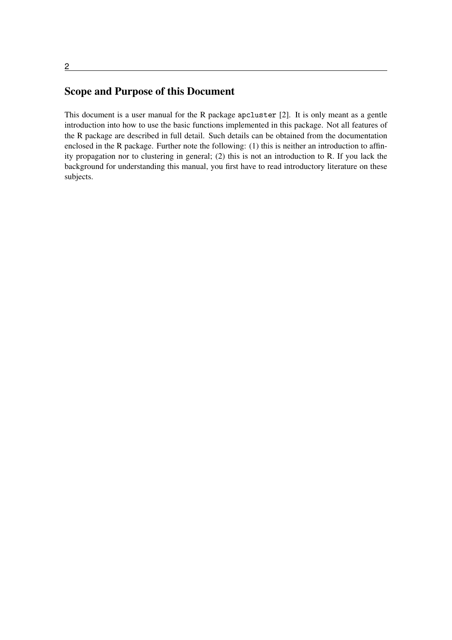## Scope and Purpose of this Document

This document is a user manual for the R package  $apcluster$  [2]. It is only meant as a gentle introduction into how to use the basic functions implemented in this package. Not all features of the R package are described in full detail. Such details can be obtained from the documentation enclosed in the R package. Further note the following: (1) this is neither an introduction to affinity propagation nor to clustering in general; (2) this is not an introduction to R. If you lack the background for understanding this manual, you first have to read introductory literature on these subjects.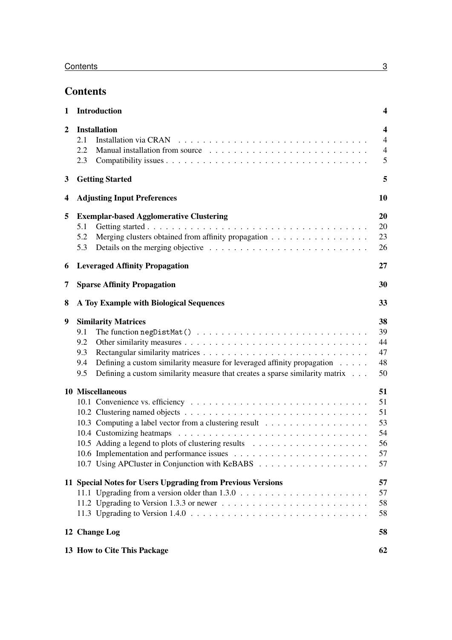## **Contents**

| 1              | <b>Introduction</b>                                                                                                                                                                                                                                                                     | $\overline{\mathbf{4}}$                                          |
|----------------|-----------------------------------------------------------------------------------------------------------------------------------------------------------------------------------------------------------------------------------------------------------------------------------------|------------------------------------------------------------------|
| $\overline{2}$ | <b>Installation</b><br>2.1<br>2.2<br>2.3                                                                                                                                                                                                                                                | $\overline{\mathbf{4}}$<br>$\overline{4}$<br>$\overline{4}$<br>5 |
| 3              | <b>Getting Started</b>                                                                                                                                                                                                                                                                  | 5                                                                |
| 4              | <b>Adjusting Input Preferences</b>                                                                                                                                                                                                                                                      | 10                                                               |
| 5              | <b>Exemplar-based Agglomerative Clustering</b><br>5.1<br>Merging clusters obtained from affinity propagation<br>5.2<br>5.3                                                                                                                                                              | 20<br>20<br>23<br>26                                             |
| 6              | <b>Leveraged Affinity Propagation</b>                                                                                                                                                                                                                                                   | 27                                                               |
| 7              | <b>Sparse Affinity Propagation</b>                                                                                                                                                                                                                                                      | 30                                                               |
| 8              | A Toy Example with Biological Sequences                                                                                                                                                                                                                                                 | 33                                                               |
| 9              | <b>Similarity Matrices</b><br>9.1<br>9.2<br>9.3<br>Defining a custom similarity measure for leveraged affinity propagation<br>9.4<br>Defining a custom similarity measure that creates a sparse similarity matrix<br>9.5                                                                | 38<br>39<br>44<br>47<br>48<br>50                                 |
|                | 10 Miscellaneous                                                                                                                                                                                                                                                                        | 51<br>51<br>51<br>53<br>54<br>56<br>57<br>57                     |
|                | 11 Special Notes for Users Upgrading from Previous Versions<br>11.2 Upgrading to Version 1.3.3 or newer $\dots \dots \dots \dots \dots \dots \dots \dots \dots \dots$<br>11.3 Upgrading to Version $1.4.0 \ldots \ldots \ldots \ldots \ldots \ldots \ldots \ldots \ldots \ldots \ldots$ | 57<br>57<br>58<br>58                                             |
|                | 12 Change Log                                                                                                                                                                                                                                                                           | 58                                                               |
|                | 13 How to Cite This Package                                                                                                                                                                                                                                                             | 62                                                               |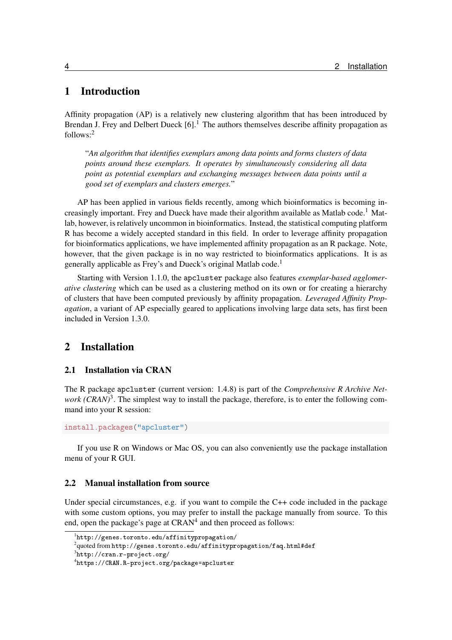## 1 Introduction

Affinity propagation (AP) is a relatively new clustering algorithm that has been introduced by Brendan J. Frey and Delbert Dueck  $[6]$ <sup>1</sup>. The authors themselves describe affinity propagation as follows:<sup>2</sup>

"*An algorithm that identifies exemplars among data points and forms clusters of data points around these exemplars. It operates by simultaneously considering all data point as potential exemplars and exchanging messages between data points until a good set of exemplars and clusters emerges.*"

AP has been applied in various fields recently, among which bioinformatics is becoming increasingly important. Frey and Dueck have made their algorithm available as Matlab code.<sup>1</sup> Matlab, however, is relatively uncommon in bioinformatics. Instead, the statistical computing platform R has become a widely accepted standard in this field. In order to leverage affinity propagation for bioinformatics applications, we have implemented affinity propagation as an R package. Note, however, that the given package is in no way restricted to bioinformatics applications. It is as generally applicable as Frey's and Dueck's original Matlab code.<sup>1</sup>

Starting with Version 1.1.0, the apcluster package also features *exemplar-based agglomerative clustering* which can be used as a clustering method on its own or for creating a hierarchy of clusters that have been computed previously by affinity propagation. *Leveraged Affinity Propagation*, a variant of AP especially geared to applications involving large data sets, has first been included in Version 1.3.0.

## 2 Installation

#### 2.1 Installation via CRAN

The R package apcluster (current version: 1.4.8) is part of the *Comprehensive R Archive Net*work (CRAN)<sup>3</sup>. The simplest way to install the package, therefore, is to enter the following command into your R session:

```
install.packages("apcluster")
```
If you use R on Windows or Mac OS, you can also conveniently use the package installation menu of your R GUI.

#### 2.2 Manual installation from source

Under special circumstances, e.g. if you want to compile the C++ code included in the package with some custom options, you may prefer to install the package manually from source. To this end, open the package's page at  $CRAM<sup>4</sup>$  and then proceed as follows:

 $^1$ http://genes.toronto.edu/affinitypropagation/

 $^2$ quoted from <code>http://genes.toronto.edu/affinitypropagation/faq.html#def</code>

 $^3$ http://cran.r-project.org/

 $^4$ https://CRAN.R-project.org/package=apcluster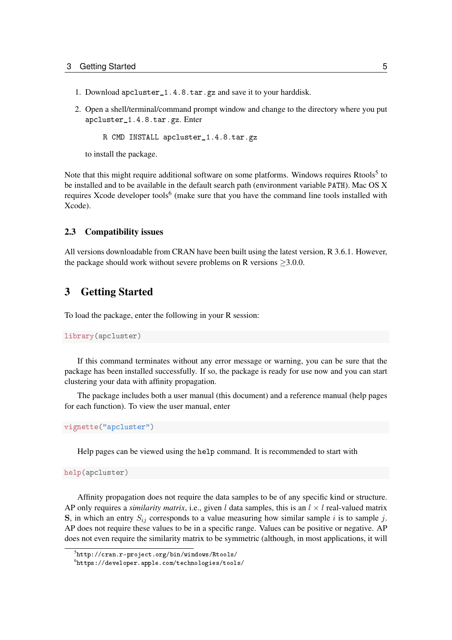- 1. Download apcluster\_1.4.8.tar.gz and save it to your harddisk.
- 2. Open a shell/terminal/command prompt window and change to the directory where you put apcluster\_1.4.8.tar.gz. Enter

R CMD INSTALL apcluster\_1.4.8.tar.gz

to install the package.

Note that this might require additional software on some platforms. Windows requires Rtools<sup>5</sup> to be installed and to be available in the default search path (environment variable PATH). Mac OS X requires Xcode developer tools<sup>6</sup> (make sure that you have the command line tools installed with Xcode).

#### 2.3 Compatibility issues

All versions downloadable from CRAN have been built using the latest version, R 3.6.1. However, the package should work without severe problems on R versions  $\geq 3.0.0$ .

## 3 Getting Started

To load the package, enter the following in your R session:

```
library(apcluster)
```
If this command terminates without any error message or warning, you can be sure that the package has been installed successfully. If so, the package is ready for use now and you can start clustering your data with affinity propagation.

The package includes both a user manual (this document) and a reference manual (help pages for each function). To view the user manual, enter

vignette("apcluster")

Help pages can be viewed using the help command. It is recommended to start with

help(apcluster)

Affinity propagation does not require the data samples to be of any specific kind or structure. AP only requires a *similarity matrix*, i.e., given l data samples, this is an  $l \times l$  real-valued matrix S, in which an entry  $S_{ij}$  corresponds to a value measuring how similar sample i is to sample j. AP does not require these values to be in a specific range. Values can be positive or negative. AP does not even require the similarity matrix to be symmetric (although, in most applications, it will

 $^5$ http://cran.r–project.org/bin/windows/Rtools/

 $^6$ https://developer.apple.com/technologies/tools/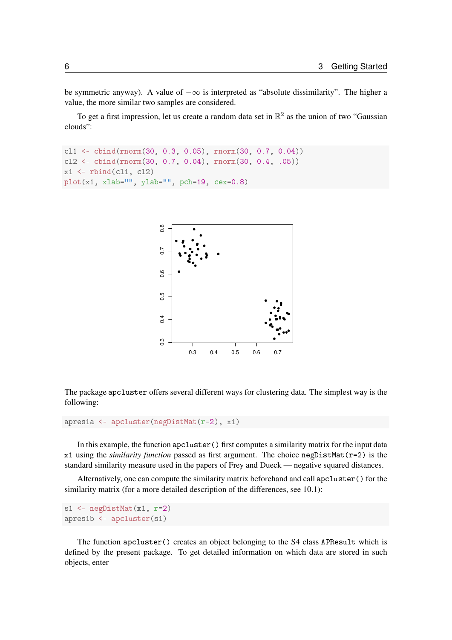be symmetric anyway). A value of  $-\infty$  is interpreted as "absolute dissimilarity". The higher a value, the more similar two samples are considered.

To get a first impression, let us create a random data set in  $\mathbb{R}^2$  as the union of two "Gaussian clouds":

```
cl1 <- cbind(rnorm(30, 0.3, 0.05), rnorm(30, 0.7, 0.04))
cl2 <- cbind(rnorm(30, 0.7, 0.04), rnorm(30, 0.4, .05))
x1 \leftarrowrbind(cl1, cl2)
plot(x1, xlab="", ylab="", pch=19, cex=0.8)
```


The package apcluster offers several different ways for clustering data. The simplest way is the following:

apres1a <- apcluster(negDistMat(r=2), x1)

In this example, the function  $apcluster()$  first computes a similarity matrix for the input data x1 using the *similarity function* passed as first argument. The choice negDistMat(r=2) is the standard similarity measure used in the papers of Frey and Dueck — negative squared distances.

Alternatively, one can compute the similarity matrix beforehand and call apcluster () for the similarity matrix (for a more detailed description of the differences, see 10.1):

```
s1 <- negDistMat(x1, r=2)
apres1b <- apcluster(s1)
```
The function apcluster () creates an object belonging to the S4 class APResult which is defined by the present package. To get detailed information on which data are stored in such objects, enter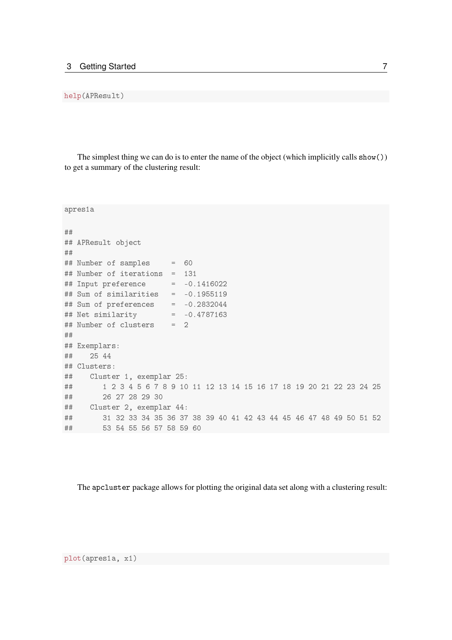#### help(APResult)

The simplest thing we can do is to enter the name of the object (which implicitly calls show $()$ ) to get a summary of the clustering result:

```
apres1a
★★
## APResult object
★★
## Number of samples = 60## Number of iterations = 131
## Input preference = -0.1416022## Sum of similarities = -0.1955119
## Sum of preferences = -0.2832044## Net similarity = -0.4787163## Number of clusters = 2
★★
## Exemplars:
## 25 44
## Clusters:
## Cluster 1, exemplar 25:
\## \quad \texttt{1} \quad 2 \quad 3 \quad 4 \quad 5 \quad 6 \quad 7 \quad 8 \quad 9 \quad 10 \quad 11 \quad 12 \quad 13 \quad 14 \quad 15 \quad 16 \quad 17 \quad 18 \quad 19 \quad 20 \quad 21 \quad 22 \quad 23 \quad 24 \quad 25## 26 27 28 29 30
## Cluster 2, exemplar 44:
★★ ✸✶ ✸✷ ✸✸ ✸✹ ✸✺ ✸✻ ✸✼ ✸✽ ✸✾ ✹✵ ✹✶ ✹✷ ✹✸ ✹✹ ✹✺ ✹✻ ✹✼ ✹✽ ✹✾ ✺✵ ✺✶ ✺✷
\# \# \# \# \frac{1}{2} \frac{1}{2} \frac{53}{2} \frac{54}{2} \frac{55}{2} \frac{56}{2} \frac{57}{2} \frac{58}{2} \frac{59}{2} \frac{60}{2}
```
The apcluster package allows for plotting the original data set along with a clustering result:

plot(apresia, xi)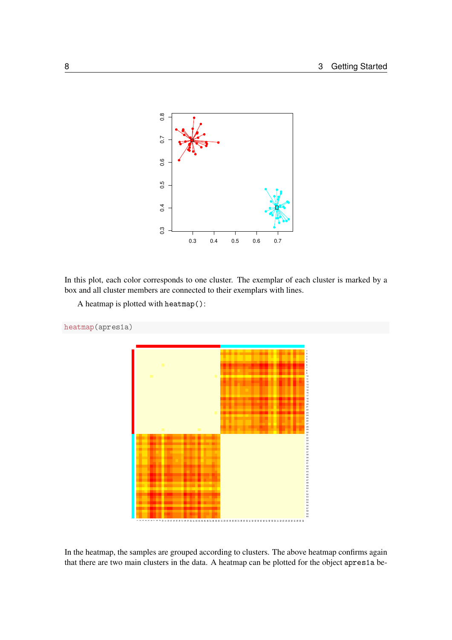

In this plot, each color corresponds to one cluster. The exemplar of each cluster is marked by a box and all cluster members are connected to their exemplars with lines.

```
A heatmap is plotted with heatmap():
```


In the heatmap, the samples are grouped according to clusters. The above heatmap confirms again that there are two main clusters in the data. A heatmap can be plotted for the object apres1a be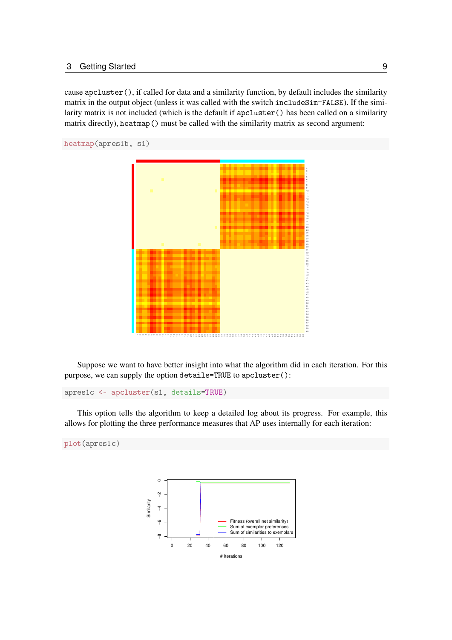cause apcluster(), if called for data and a similarity function, by default includes the similarity matrix in the output object (unless it was called with the switch includeSim=FALSE). If the similarity matrix is not included (which is the default if apcluster () has been called on a similarity matrix directly), heatmap() must be called with the similarity matrix as second argument:

```
heatmap(apres1b, s1)
```


Suppose we want to have better insight into what the algorithm did in each iteration. For this purpose, we can supply the option details=TRUE to apcluster():

```
apresic <- apcluster(si, details=TRUE)
```
This option tells the algorithm to keep a detailed log about its progress. For example, this allows for plotting the three performance measures that AP uses internally for each iteration:

```
plot(apresic)
```
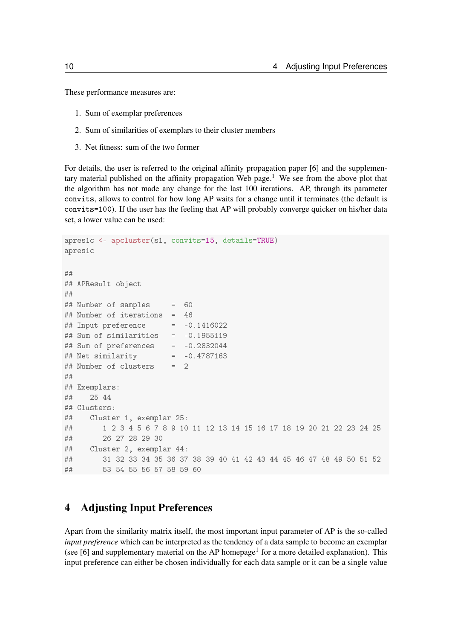These performance measures are:

- 1. Sum of exemplar preferences
- 2. Sum of similarities of exemplars to their cluster members
- 3. Net fitness: sum of the two former

For details, the user is referred to the original affinity propagation paper [6] and the supplementary material published on the affinity propagation Web page.<sup>1</sup> We see from the above plot that the algorithm has not made any change for the last 100 iterations. AP, through its parameter convits, allows to control for how long AP waits for a change until it terminates (the default is convits=100). If the user has the feeling that AP will probably converge quicker on his/her data set, a lower value can be used:

```
apres1c <- apcluster(s1, convits=15, details=TRUE)
apres1c
★★
## APResult object
★★
## Number of samples = 60## Number of iterations = 46
## Input preference = -0.1416022## Sum of similarities = -0.1955119
\## Sum of preferences = -0.2832044
## Net similarity = -0.4787163## Number of clusters = 2
★★
## Exemplars:
★★ ✷✺ ✹✹
## Clusters:
## Cluster 1, exemplar 25:
★★ ✶ ✷ ✸ ✹ ✺ ✻ ✼ ✽ ✾ ✶✵ ✶✶ ✶✷ ✶✸ ✶✹ ✶✺ ✶✻ ✶✼ ✶✽ ✶✾ ✷✵ ✷✶ ✷✷ ✷✸ ✷✹ ✷✺
## 26 27 28 29 30
## Cluster 2, exemplar 44:
★★ ✸✶ ✸✷ ✸✸ ✸✹ ✸✺ ✸✻ ✸✼ ✸✽ ✸✾ ✹✵ ✹✶ ✹✷ ✹✸ ✹✹ ✹✺ ✹✻ ✹✼ ✹✽ ✹✾ ✺✵ ✺✶ ✺✷
\## 53 54 55 56 57 58 59 60
```
## 4 Adjusting Input Preferences

Apart from the similarity matrix itself, the most important input parameter of AP is the so-called *input preference* which can be interpreted as the tendency of a data sample to become an exemplar (see [6] and supplementary material on the AP homepage<sup>1</sup> for a more detailed explanation). This input preference can either be chosen individually for each data sample or it can be a single value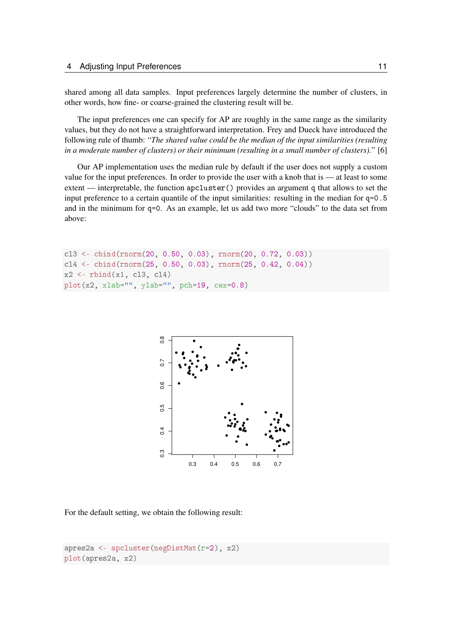shared among all data samples. Input preferences largely determine the number of clusters, in other words, how fine- or coarse-grained the clustering result will be.

The input preferences one can specify for AP are roughly in the same range as the similarity values, but they do not have a straightforward interpretation. Frey and Dueck have introduced the following rule of thumb: "*The shared value could be the median of the input similarities (resulting in a moderate number of clusters) or their minimum (resulting in a small number of clusters).*" [6]

Our AP implementation uses the median rule by default if the user does not supply a custom value for the input preferences. In order to provide the user with a knob that is — at least to some extent — interpretable, the function  $apcluster()$  provides an argument q that allows to set the input preference to a certain quantile of the input similarities: resulting in the median for  $q=0.5$ and in the minimum for  $q=0$ . As an example, let us add two more "clouds" to the data set from above:

```
cl3 <- cbind(rnorm(20, 0.50, 0.03), rnorm(20, 0.72, 0.03))
c14 \le -\text{bind}(rnorm(25, 0.50, 0.03), rnorm(25, 0.42, 0.04))x2 \leftarrow rbind(x1, cl3, cl4)
plot(x2, xlab="", ylab="", pch=19, cex=0.8)
```


For the default setting, we obtain the following result:

```
apres2a <- apcluster(negDistMat(r=2), x2)
plot(apres2a, x2)
```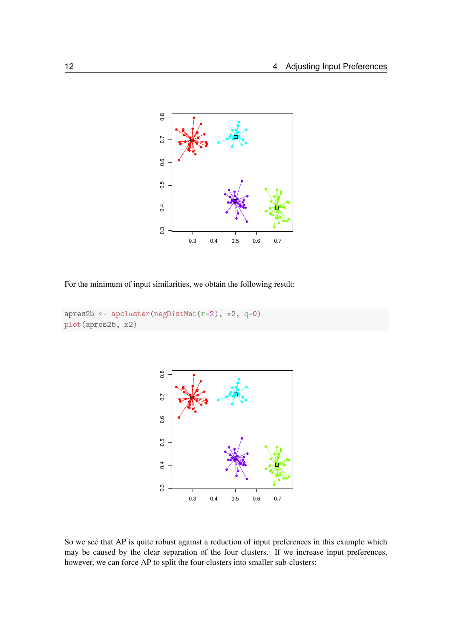

For the minimum of input similarities, we obtain the following result:

```
apres2b <- apcluster(negDistMat(r=2), x2, q=0)
plot(apres2b, x2)
```


So we see that AP is quite robust against a reduction of input preferences in this example which may be caused by the clear separation of the four clusters. If we increase input preferences, however, we can force AP to split the four clusters into smaller sub-clusters: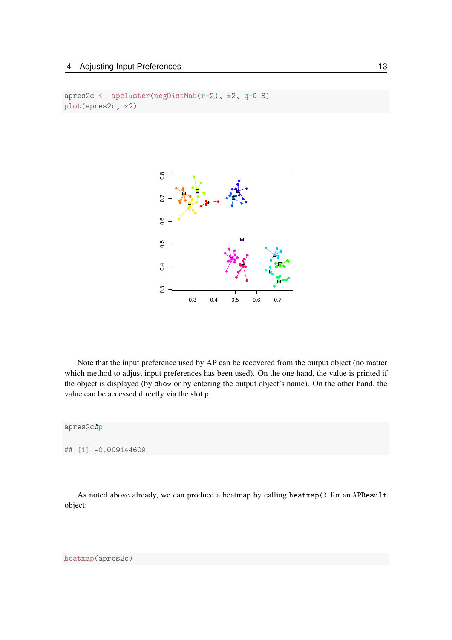```
apres2c <- apcluster(negDistMat(r=2), x2, q=0.8)
plot(apres2c, x2)
```


Note that the input preference used by AP can be recovered from the output object (no matter which method to adjust input preferences has been used). On the one hand, the value is printed if the object is displayed (by show or by entering the output object's name). On the other hand, the value can be accessed directly via the slot p:

apres2c@p

★★ ❬✶❪ ✲✵✳✵✵✾✶✹✹✻✵✾

As noted above already, we can produce a heatmap by calling heatmap() for an APResult object:

heatmap(apres2c)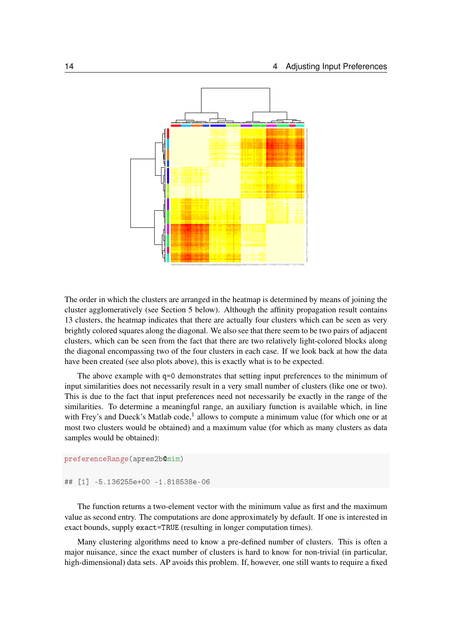

The order in which the clusters are arranged in the heatmap is determined by means of joining the cluster agglomeratively (see Section 5 below). Although the affinity propagation result contains 13 clusters, the heatmap indicates that there are actually four clusters which can be seen as very brightly colored squares along the diagonal. We also see that there seem to be two pairs of adjacent clusters, which can be seen from the fact that there are two relatively light-colored blocks along the diagonal encompassing two of the four clusters in each case. If we look back at how the data have been created (see also plots above), this is exactly what is to be expected.

The above example with  $q=0$  demonstrates that setting input preferences to the minimum of input similarities does not necessarily result in a very small number of clusters (like one or two). This is due to the fact that input preferences need not necessarily be exactly in the range of the similarities. To determine a meaningful range, an auxiliary function is available which, in line with Frey's and Dueck's Matlab code,<sup>1</sup> allows to compute a minimum value (for which one or at most two clusters would be obtained) and a maximum value (for which as many clusters as data samples would be obtained):

#### preferenceRange(apres2b@sim)

★★ ❬✶❪ ✲✺✳✶✸✻✷✺✺❡✰✵✵ ✲✶✳✽✶✽✺✸✽❡✲✵✻

The function returns a two-element vector with the minimum value as first and the maximum value as second entry. The computations are done approximately by default. If one is interested in exact bounds, supply exact=TRUE (resulting in longer computation times).

Many clustering algorithms need to know a pre-defined number of clusters. This is often a major nuisance, since the exact number of clusters is hard to know for non-trivial (in particular, high-dimensional) data sets. AP avoids this problem. If, however, one still wants to require a fixed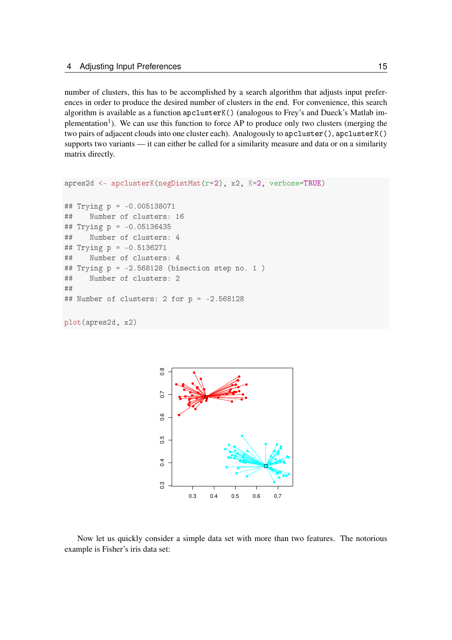number of clusters, this has to be accomplished by a search algorithm that adjusts input preferences in order to produce the desired number of clusters in the end. For convenience, this search algorithm is available as a function apcluster K() (analogous to Frey's and Dueck's Matlab implementation<sup>1</sup>). We can use this function to force AP to produce only two clusters (merging the two pairs of adjacent clouds into one cluster each). Analogously to apcluster(), apclusterK() supports two variants — it can either be called for a similarity measure and data or on a similarity matrix directly.

```
apres2d <- apclusterK(negDistMat(r=2), x2, K=2, verbose=TRUE)
```

```
## Trying p = -0.005138071## Number of clusters: 16
## Trying p = -0.05136435## Number of clusters: 4
## Trying p = -0.5136271## Number of clusters: 4
## Trying p = -2.568128 (bisection step no. 1)
## Number of clusters: 2
★★
## Number of clusters: 2 for p = -2.568128
```
plot(apres2d, x2)



Now let us quickly consider a simple data set with more than two features. The notorious example is Fisher's iris data set: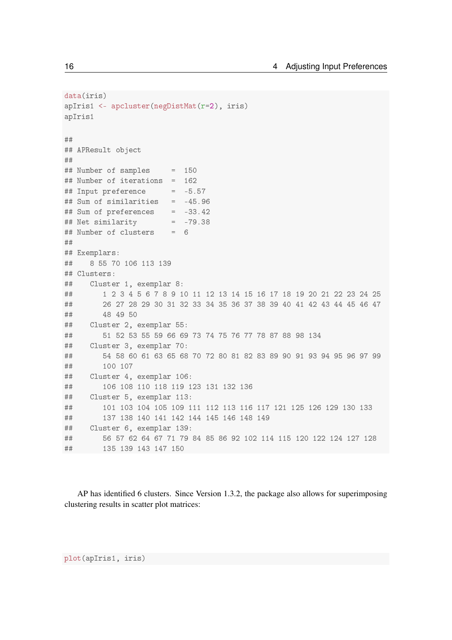```
data(iris)
apIris1 <- apcluster(negDistMat(r=2), iris)
apIris1
#### APResult object
#### Number of samples
                        = 150## Number of iterations = 162
## Input preference
                     = -5.57## Sum of similarities = -45.96## Sum of preferences = -33.42## Net similarity
                        = -79.38## Number of clusters
                       = 6#### Exemplars:
##8 55 70 106 113 139
## Clusters:
     Cluster 1, exemplar 8:
####1 2 3 4 5 6 7 8 9 10 11 12 13 14 15 16 17 18 19 20 21 22 23 24 25
##26 27 28 29 30 31 32 33 34 35 36 37 38 39 40 41 42 43 44 45 46 47
        48 49 50
####Cluster 2, exemplar 55:
        51 52 53 55 59 66 69 73 74 75 76 77 78 87 88 98 134
####Cluster 3, exemplar 70:
##54 58 60 61 63 65 68 70 72 80 81 82 83 89 90 91 93 94 95 96 97 99
##100 107
##Cluster 4, exemplar 106:
        106 108 110 118 119 123 131 132 136
####Cluster 5, exemplar 113:
##101 103 104 105 109 111 112 113 116 117 121 125 126 129 130 133
##137 138 140 141 142 144 145 146 148 149
##Cluster 6, exemplar 139:
        56 57 62 64 67 71 79 84 85 86 92 102 114 115 120 122 124 127 128
####135 139 143 147 150
```
AP has identified 6 clusters. Since Version 1.3.2, the package also allows for superimposing clustering results in scatter plot matrices:

16

plot(apIris1, iris)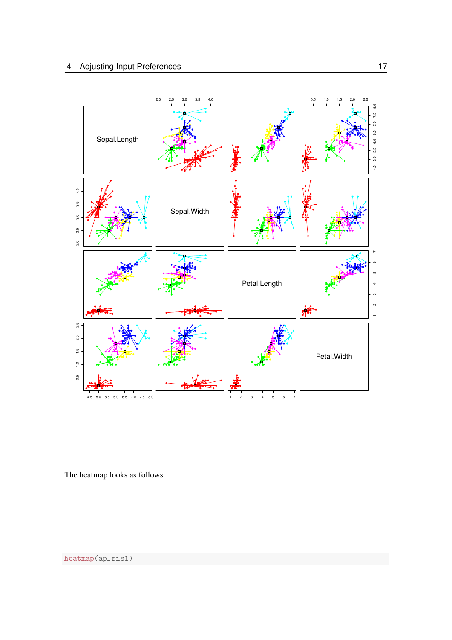

The heatmap looks as follows:

heatmap(apIris1)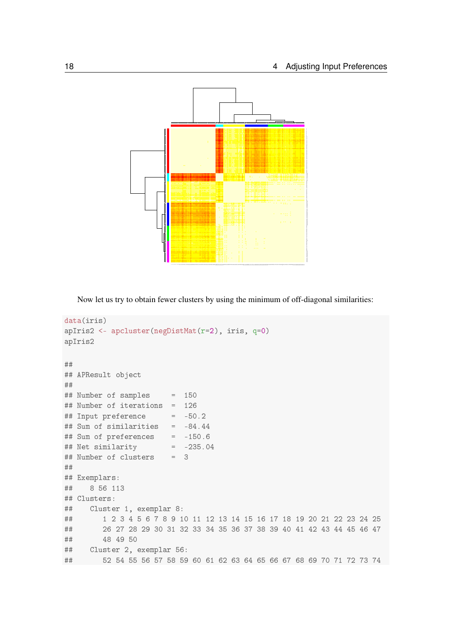

Now let us try to obtain fewer clusters by using the minimum of off-diagonal similarities:

```
data(iris)
apIris2 <- apcluster(negDistMat(r=2), iris, q=0)
apIris2
★★
## APResult object
★★
## Number of samples = 150## Number of iterations = 126
## Input preference = -50.2## Sum of similarities = -84.44
## Sum of preferences = -150.6
## Net similarity = -235.04
## Number of clusters = 3
★★
## Exemplars:
## 8 56 113
## Clusters:
## Cluster 1, exemplar 8:
\## \qquad \qquad 1 \ \ 2 \ \ 3 \ \ 4 \ \ 5 \ \ 6 \ \ 7 \ \ 8 \ \ 9 \ \ 10 \ \ 11 \ \ 12 \ \ 13 \ \ 14 \ \ 15 \ \ 16 \ \ 17 \ \ 18 \ \ 19 \ \ 20 \ \ 21 \ \ 22 \ \ 23 \ \ 24 \ \ 25\## \quad 26 \quad 27 \quad 28 \quad 29 \quad 30 \quad 31 \quad 32 \quad 33 \quad 34 \quad 35 \quad 36 \quad 37 \quad 38 \quad 39 \quad 40 \quad 41 \quad 42 \quad 43 \quad 44 \quad 45 \quad 46 \quad 47## 48 49 50
## Cluster 2, exemplar 56:
\# \# \frac{52}{54} \frac{54}{56} \frac{56}{57} \frac{58}{59} \frac{59}{60} \frac{61}{62} \frac{62}{63} \frac{64}{64} \frac{65}{66} \frac{67}{68} \frac{69}{70} \frac{71}{72} \frac{73}{74}
```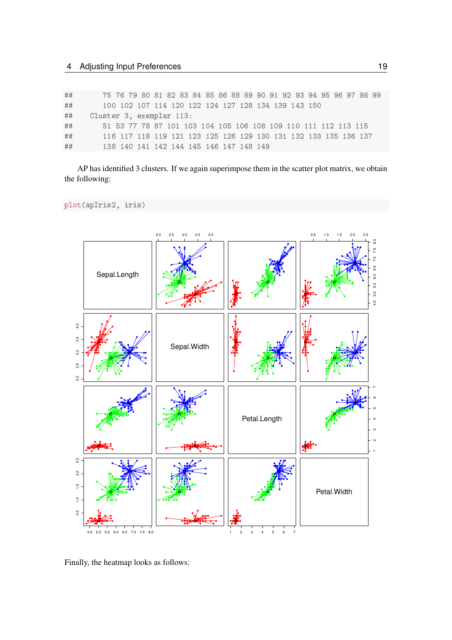| ## | 75 76 79 80 81 82 83 84 85 86 88 89 90 91 92 93 94 95 96 97 98 99 |
|----|-------------------------------------------------------------------|
| ## | 100 102 107 114 120 122 124 127 128 134 139 143 150               |
| ## | Cluster 3, exemplar 113:                                          |
| ## | 51 53 77 78 87 101 103 104 105 106 108 109 110 111 112 113 115    |
| ## | 116 117 118 119 121 123 125 126 129 130 131 132 133 135 136 137   |
| ## | 138 140 141 142 144 145 146 147 148 149                           |

AP has identified 3 clusters. If we again superimpose them in the scatter plot matrix, we obtain the following:

plot(apIris2, iris)



Finally, the heatmap looks as follows: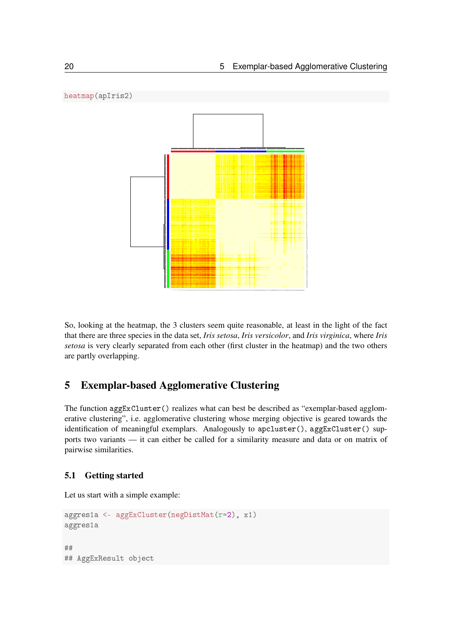

So, looking at the heatmap, the 3 clusters seem quite reasonable, at least in the light of the fact that there are three species in the data set, *Iris setosa*, *Iris versicolor*, and *Iris virginica*, where *Iris setosa* is very clearly separated from each other (first cluster in the heatmap) and the two others are partly overlapping.

## 5 Exemplar-based Agglomerative Clustering

The function  $\text{aggExCluster}()$  realizes what can best be described as "exemplar-based agglomerative clustering", i.e. agglomerative clustering whose merging objective is geared towards the identification of meaningful exemplars. Analogously to apcluster(), aggExCluster() supports two variants — it can either be called for a similarity measure and data or on matrix of pairwise similarities.

#### 5.1 Getting started

Let us start with a simple example:

```
aggres1a <- aggExCluster(negDistMat(r=2), x1)
aggres1a
★★
## AggExResult object
```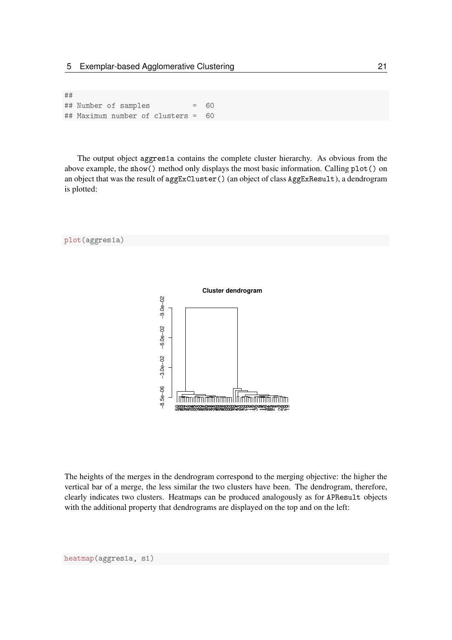★★ ## Number of samples = 60 ## Maximum number of clusters = 60

The output object aggres1a contains the complete cluster hierarchy. As obvious from the above example, the show () method only displays the most basic information. Calling plot () on an object that was the result of aggExCluster () (an object of class AggExResult), a dendrogram is plotted:



The heights of the merges in the dendrogram correspond to the merging objective: the higher the vertical bar of a merge, the less similar the two clusters have been. The dendrogram, therefore, clearly indicates two clusters. Heatmaps can be produced analogously as for APResult objects with the additional property that dendrograms are displayed on the top and on the left: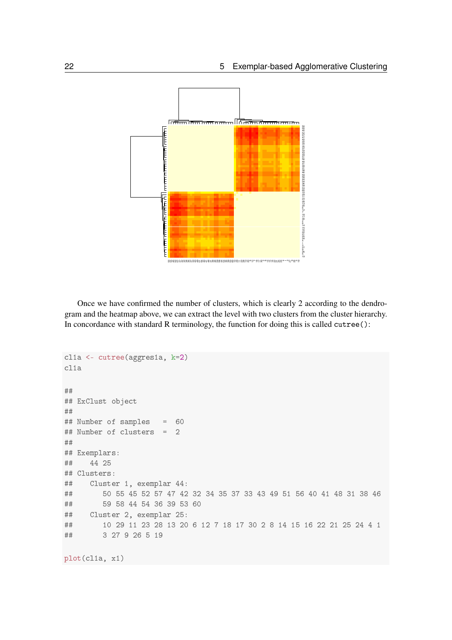

Once we have confirmed the number of clusters, which is clearly 2 according to the dendrogram and the heatmap above, we can extract the level with two clusters from the cluster hierarchy. In concordance with standard R terminology, the function for doing this is called  $cutree()$ :

```
clia <- cutree(aggresia, k=2)
clia
★★
## ExClust object
★★
## Number of samples = 60
## Number of clusters = 2
★★
## Exemplars:
## 44 25
## Clusters:
## Cluster 1, exemplar 44:
★★ ✺✵ ✺✺ ✹✺ ✺✷ ✺✼ ✹✼ ✹✷ ✸✷ ✸✹ ✸✺ ✸✼ ✸✸ ✹✸ ✹✾ ✺✶ ✺✻ ✹✵ ✹✶ ✹✽ ✸✶ ✸✽ ✹✻
\## 59 58 44 54 36 39 53 60
## Cluster 2, exemplar 25:
★★ ✶✵ ✷✾ ✶✶ ✷✸ ✷✽ ✶✸ ✷✵ ✻ ✶✷ ✼ ✶✽ ✶✼ ✸✵ ✷ ✽ ✶✹ ✶✺ ✶✻ ✷✷ ✷✶ ✷✺ ✷✹ ✹ ✶
## 3 27 9 26 5 19
```
plot(clia, xi)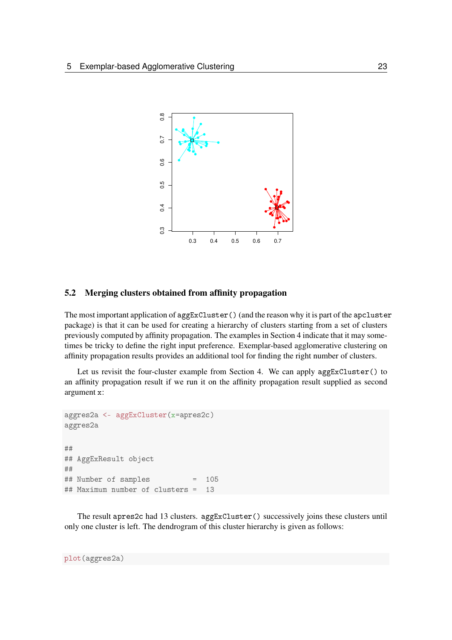

#### 5.2 Merging clusters obtained from affinity propagation

The most important application of  $\arg\texttt{ExCluster}()$  (and the reason why it is part of the  $\arg\texttt{cluster}$ package) is that it can be used for creating a hierarchy of clusters starting from a set of clusters previously computed by affinity propagation. The examples in Section 4 indicate that it may sometimes be tricky to define the right input preference. Exemplar-based agglomerative clustering on affinity propagation results provides an additional tool for finding the right number of clusters.

Let us revisit the four-cluster example from Section 4. We can apply aggExCluster () to an affinity propagation result if we run it on the affinity propagation result supplied as second argument x:

```
aggres2a <- aggExCluster(x=apres2c)
aggres2a
★★
## AggExResult object
★★
## Number of samples = 105
## Maximum number of clusters = 13
```
The result apres2c had 13 clusters. aggExCluster() successively joins these clusters until only one cluster is left. The dendrogram of this cluster hierarchy is given as follows: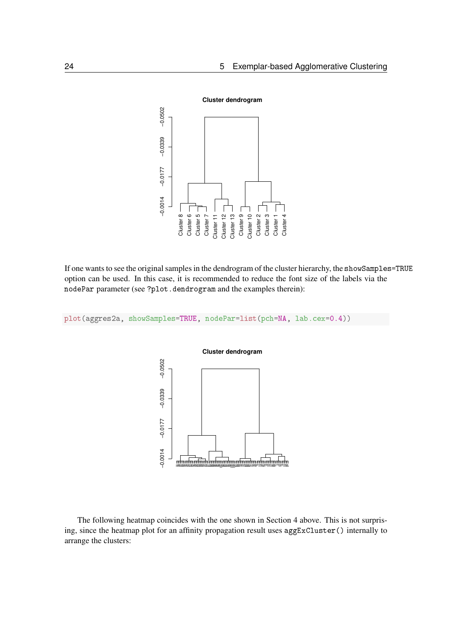

If one wants to see the original samples in the dendrogram of the cluster hierarchy, the showSamples=TRUE option can be used. In this case, it is recommended to reduce the font size of the labels via the nodePar parameter (see ?plot.dendrogram and the examples therein):

plot(aggres2a, showSamples=TRUE, nodePar=list(pch=NA, lab.cex=0.4))



The following heatmap coincides with the one shown in Section 4 above. This is not surprising, since the heatmap plot for an affinity propagation result uses  $aggExCluster()$  internally to arrange the clusters: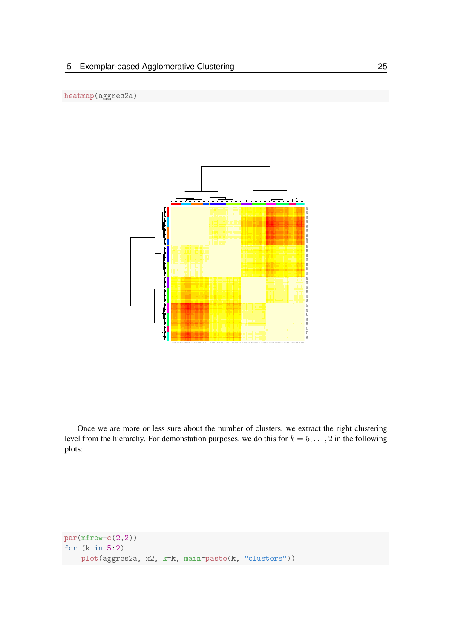

Once we are more or less sure about the number of clusters, we extract the right clustering level from the hierarchy. For demonstation purposes, we do this for  $k = 5, \ldots, 2$  in the following plots:

```
par(mfrow=c(2,2))for (k \in 5:2)plot(aggres2a, x2, k=k, main=paste(k, "clusters"))
```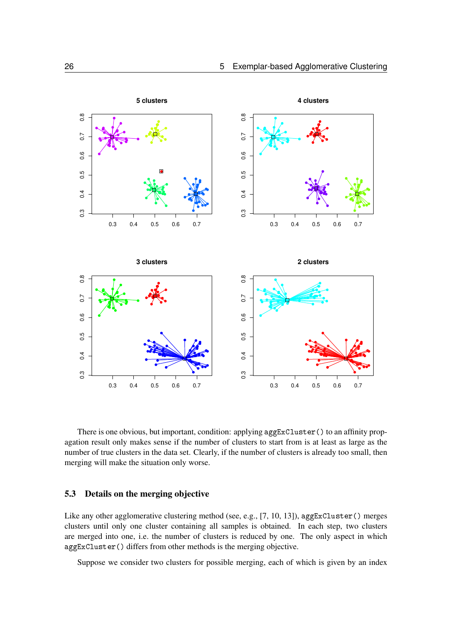

There is one obvious, but important, condition: applying  $aggExCluster()$  to an affinity propagation result only makes sense if the number of clusters to start from is at least as large as the number of true clusters in the data set. Clearly, if the number of clusters is already too small, then merging will make the situation only worse.

#### 5.3 Details on the merging objective

Like any other agglomerative clustering method (see, e.g., [7, 10, 13]), aggExCluster () merges clusters until only one cluster containing all samples is obtained. In each step, two clusters are merged into one, i.e. the number of clusters is reduced by one. The only aspect in which aggExCluster () differs from other methods is the merging objective.

Suppose we consider two clusters for possible merging, each of which is given by an index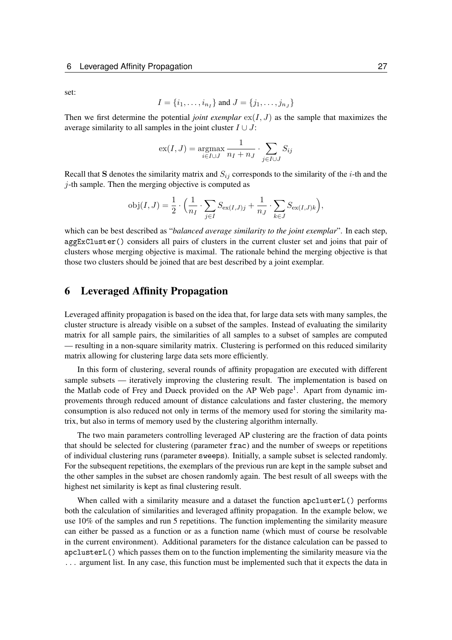set:

$$
I = \{i_1, \ldots, i_{n_I}\}\
$$
 and  $J = \{j_1, \ldots, j_{n_J}\}\$ 

Then we first determine the potential *joint exemplar*  $ex(I, J)$  as the sample that maximizes the average similarity to all samples in the joint cluster  $I \cup J$ :

$$
\mathrm{ex}(I, J) = \underset{i \in I \cup J}{\mathrm{argmax}} \frac{1}{n_I + n_J} \cdot \sum_{j \in I \cup J} S_{ij}
$$

Recall that S denotes the similarity matrix and  $S_{ij}$  corresponds to the similarity of the *i*-th and the  $j$ -th sample. Then the merging objective is computed as

$$
obj(I, J) = \frac{1}{2} \cdot \left( \frac{1}{n_I} \cdot \sum_{j \in I} S_{ex(I, J)j} + \frac{1}{n_J} \cdot \sum_{k \in J} S_{ex(I, J)k} \right),
$$

which can be best described as "*balanced average similarity to the joint exemplar*". In each step, aggExCluster() considers all pairs of clusters in the current cluster set and joins that pair of clusters whose merging objective is maximal. The rationale behind the merging objective is that those two clusters should be joined that are best described by a joint exemplar.

## 6 Leveraged Affinity Propagation

Leveraged affinity propagation is based on the idea that, for large data sets with many samples, the cluster structure is already visible on a subset of the samples. Instead of evaluating the similarity matrix for all sample pairs, the similarities of all samples to a subset of samples are computed — resulting in a non-square similarity matrix. Clustering is performed on this reduced similarity matrix allowing for clustering large data sets more efficiently.

In this form of clustering, several rounds of affinity propagation are executed with different sample subsets — iteratively improving the clustering result. The implementation is based on the Matlab code of Frey and Dueck provided on the AP Web page<sup>1</sup>. Apart from dynamic improvements through reduced amount of distance calculations and faster clustering, the memory consumption is also reduced not only in terms of the memory used for storing the similarity matrix, but also in terms of memory used by the clustering algorithm internally.

The two main parameters controlling leveraged AP clustering are the fraction of data points that should be selected for clustering (parameter frac) and the number of sweeps or repetitions of individual clustering runs (parameter sweeps). Initially, a sample subset is selected randomly. For the subsequent repetitions, the exemplars of the previous run are kept in the sample subset and the other samples in the subset are chosen randomly again. The best result of all sweeps with the highest net similarity is kept as final clustering result.

When called with a similarity measure and a dataset the function apcluster L() performs both the calculation of similarities and leveraged affinity propagation. In the example below, we use 10% of the samples and run 5 repetitions. The function implementing the similarity measure can either be passed as a function or as a function name (which must of course be resolvable in the current environment). Additional parameters for the distance calculation can be passed to apclusterL() which passes them on to the function implementing the similarity measure via the ... argument list. In any case, this function must be implemented such that it expects the data in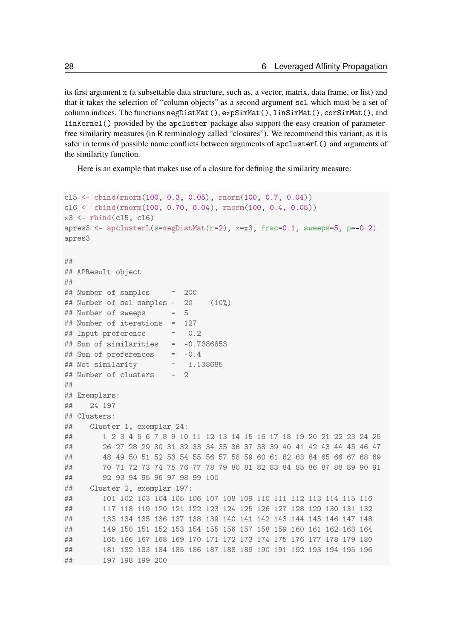its first argument  $x$  (a subsettable data structure, such as, a vector, matrix, data frame, or list) and that it takes the selection of "column objects" as a second argument sel which must be a set of column indices. The functions  $\texttt{negDistMat}(), \texttt{expSimMat}(), \texttt{linSimMat}(), \texttt{corSimMat}(),$  and linKernel() provided by the apcluster package also support the easy creation of parameterfree similarity measures (in R terminology called "closures"). We recommend this variant, as it is safer in terms of possible name conflicts between arguments of apclusterL() and arguments of the similarity function.

Here is an example that makes use of a closure for defining the similarity measure:

```
c15 \leq \cosh(\text{rnorm}(100, 0.3, 0.05), \text{rnorm}(100, 0.7, 0.04))c16 <- cbind(rnorm(100, 0.70, 0.04), rnorm(100, 0.4, 0.05))
x3 \leq rbind(c15, c16)
apres3 <- apclusterL(s=negDistMat(r=2), x=x3, frac=0.1, sweeps=5, p=-0.2)
apres3
★★
## APResult object
★★
## Number of samples = 200
\## Number of sel samples = 20 (10%)
## Number of sweeps = 5## Number of iterations = 127
\# # Input preference = -0.2## Sum of similarities = -0.7386853
\## Sum of preferences = -0.4
## Net similarity = -1.138685## Number of clusters = 2
★★
## Exemplars:
★★ ✷✹ ✶✾✼
## Clusters:
## Cluster 1, exemplar 24:
\#  # \qquad 1 \ 2 \ 3 \ 4 \ 5 \ 6 \ 7 \ 8 \ 9 \ 10 \ 11 \ 12 \ 13 \ 14 \ 15 \ 16 \ 17 \ 18 \ 19 \ 20 \ 21 \ 22 \ 23 \ 24 \ 25\## \hspace{1.5cm} 26 \hspace{1.5cm} 27 \hspace{1.5cm} 28 \hspace{1.5cm} 29 \hspace{1.5cm} 30 \hspace{1.5cm} 31 \hspace{1.5cm} 32 \hspace{1.5cm} 33 \hspace{1.5cm} 34 \hspace{1.5cm} 35 \hspace{1.5cm} 36 \hspace{1.5cm} 37 \hspace{1.5cm} 38 \hspace{1.5cm} 39 \hspace{1.5cm} 40 \hspace{1.5cm} 41 \hspace{1.5cm} 42 \hspace{1.5cm} 43 \hs★★ ✹✽ ✹✾ ✺✵ ✺✶ ✺✷ ✺✸ ✺✹ ✺✺ ✺✻ ✺✼ ✺✽ ✺✾ ✻✵ ✻✶ ✻✷ ✻✸ ✻✹ ✻✺ ✻✻ ✻✼ ✻✽ ✻✾
★★ ✼✵ ✼✶ ✼✷ ✼✸ ✼✹ ✼✺ ✼✻ ✼✼ ✼✽ ✼✾ ✽✵ ✽✶ ✽✷ ✽✸ ✽✹ ✽✺ ✽✻ ✽✼ ✽✽ ✽✾ ✾✵ ✾✶
\## 	 92 93 94 95 96 97 98 99 100
## Cluster 2, exemplar 197:
★★ ✶✵✶ ✶✵✷ ✶✵✸ ✶✵✹ ✶✵✺ ✶✵✻ ✶✵✼ ✶✵✽ ✶✵✾ ✶✶✵ ✶✶✶ ✶✶✷ ✶✶✸ ✶✶✹ ✶✶✺ ✶✶✻
★★ ✶✶✼ ✶✶✽ ✶✶✾ ✶✷✵ ✶✷✶ ✶✷✷ ✶✷✸ ✶✷✹ ✶✷✺ ✶✷✻ ✶✷✼ ✶✷✽ ✶✷✾ ✶✸✵ ✶✸✶ ✶✸✷
★★ ✶✸✸ ✶✸✹ ✶✸✺ ✶✸✻ ✶✸✼ ✶✸✽ ✶✸✾ ✶✹✵ ✶✹✶ ✶✹✷ ✶✹✸ ✶✹✹ ✶✹✺ ✶✹✻ ✶✹✼ ✶✹✽
# # 149 150 151 152 153 154 155 156 157 158 159 160 161 162 163 164
★★ ✶✻✺ ✶✻✻ ✶✻✼ ✶✻✽ ✶✻✾ ✶✼✵ ✶✼✶ ✶✼✷ ✶✼✸ ✶✼✹ ✶✼✺ ✶✼✻ ✶✼✼ ✶✼✽ ✶✼✾ ✶✽✵
★★ ✶✽✶ ✶✽✷ ✶✽✸ ✶✽✹ ✶✽✺ ✶✽✻ ✶✽✼ ✶✽✽ ✶✽✾ ✶✾✵ ✶✾✶ ✶✾✷ ✶✾✸ ✶✾✹ ✶✾✺ ✶✾✻
\# \# \# \frac{197}{198} \frac{198}{199} \frac{200}{199}
```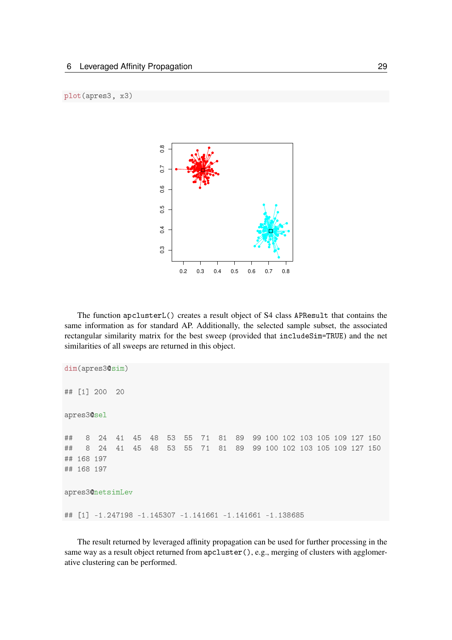

The function  $apclusterL()$  creates a result object of S4 class APResult that contains the same information as for standard AP. Additionally, the selected sample subset, the associated rectangular similarity matrix for the best sweep (provided that includeSim=TRUE) and the net similarities of all sweeps are returned in this object.

```
dim(apres3@sim)
## [1] 200 20
apres3@sel
## 8 24 41 45 48 53 55 71 81 89 99 100 102 103 105 109 127 150
# # 8 24 41 45 48 53 55 71 81 89 99 100 102 103 105 109 127 150
## 168 197
## 168 197
apres3@netsimLev
★★ ❬✶❪ ✲✶✳✷✹✼✶✾✽ ✲✶✳✶✹✺✸✵✼ ✲✶✳✶✹✶✻✻✶ ✲✶✳✶✹✶✻✻✶ ✲✶✳✶✸✽✻✽✺
```
The result returned by leveraged affinity propagation can be used for further processing in the same way as a result object returned from apcluster (), e.g., merging of clusters with agglomerative clustering can be performed.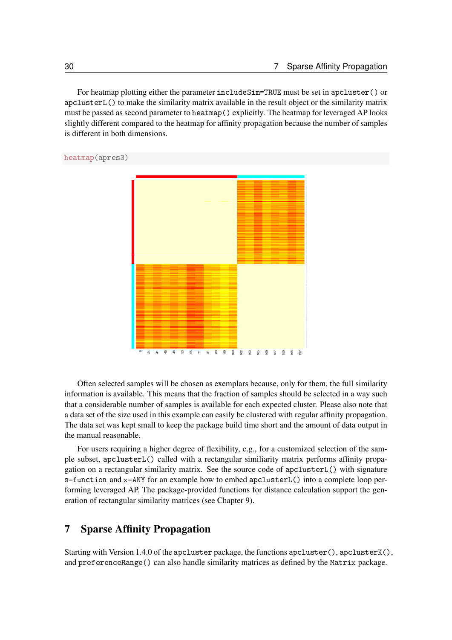For heatmap plotting either the parameter include Sim=TRUE must be set in apcluster () or apclusterL() to make the similarity matrix available in the result object or the similarity matrix must be passed as second parameter to heatmap () explicitly. The heatmap for leveraged AP looks slightly different compared to the heatmap for affinity propagation because the number of samples is different in both dimensions.

heatmap(apres3)



Often selected samples will be chosen as exemplars because, only for them, the full similarity information is available. This means that the fraction of samples should be selected in a way such that a considerable number of samples is available for each expected cluster. Please also note that a data set of the size used in this example can easily be clustered with regular affinity propagation. The data set was kept small to keep the package build time short and the amount of data output in the manual reasonable.

For users requiring a higher degree of flexibility, e.g., for a customized selection of the sample subset, apclusterL() called with a rectangular similiarity matrix performs affinity propagation on a rectangular similarity matrix. See the source code of apclusterL() with signature s=function and x=ANY for an example how to embed apcluster L() into a complete loop performing leveraged AP. The package-provided functions for distance calculation support the generation of rectangular similarity matrices (see Chapter 9).

## 7 Sparse Affinity Propagation

Starting with Version 1.4.0 of the apcluster package, the functions  $apcluster(), apcluster((),$ and preferenceRange() can also handle similarity matrices as defined by the Matrix package.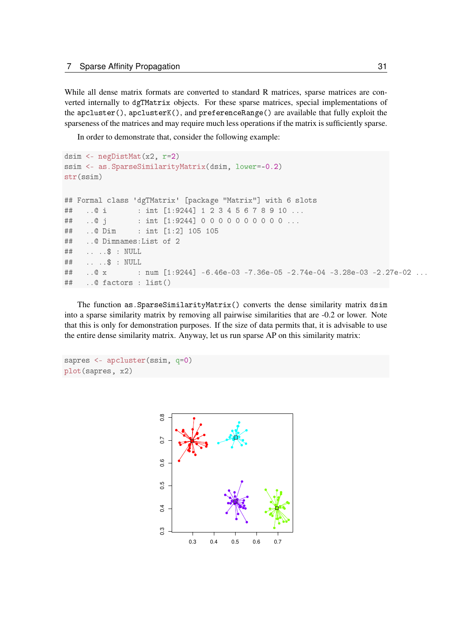While all dense matrix formats are converted to standard R matrices, sparse matrices are converted internally to dgTMatrix objects. For these sparse matrices, special implementations of the apcluster(), apclusterK(), and preferenceRange() are available that fully exploit the sparseness of the matrices and may require much less operations if the matrix is sufficiently sparse.

In order to demonstrate that, consider the following example:

```
dsim <- negDistMat(x2, r=2)ssim <- as.SparseSimilarityMatrix(dsim, lower=-0.2)
str(ssim)
## Formal class 'dgTMatrix' [package "Matrix"] with 6 slots
## ..@ i : int [1:9244] 1 2 3 4 5 6 7 8 9 10 ...
## ..@ j : int [1:9244] 00000000000...
## ..@ Dim : int [1:2] 105 105
## .. @ Dimnames: List of 2
## ....$ : NULL
## ....$ : NULL
## .. 0 x 		 : num [1:9244] -6.46e-03 -7.36e-05 -2.74e-04 -3.28e-03 -2.27e-02 ...
## ..@ factors : list()
```
The function as SparseSimilarityMatrix() converts the dense similarity matrix dsim into a sparse similarity matrix by removing all pairwise similarities that are -0.2 or lower. Note that this is only for demonstration purposes. If the size of data permits that, it is advisable to use the entire dense similarity matrix. Anyway, let us run sparse AP on this similarity matrix:

```
sapres <- apcluster(ssim, q=0)
plot(sapres, x2)
```
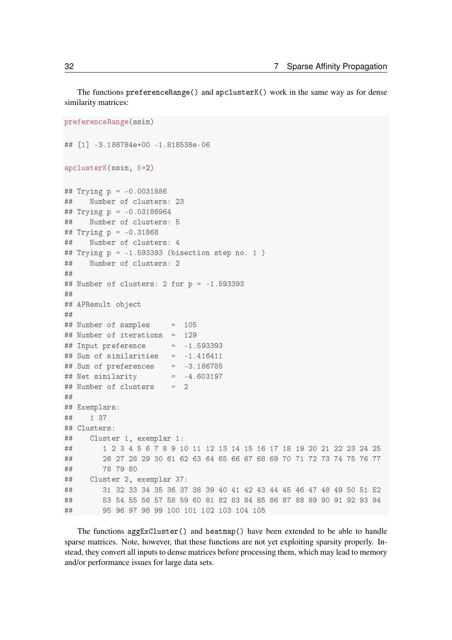The functions preferenceRange() and apclusterK() work in the same way as for dense similarity matrices:

```
preferenceRange(ssim)
## [1] -3.186784e+00 -1.818538e-06
apclusterK(ssim, K=2)
## Trying p = -0.0031886## Number of clusters: 23
## Trying p = -0.03186964## Number of clusters: 5
## Trying p = -0.31868## Number of clusters: 4
## Trying p = -1.593393 (bisection step no. 1)
## Number of clusters: 2
★★
## Number of clusters: 2 for p = -1.593393★★
## APResult object
★★
## Number of samples = 105
## Number of iterations = 129
## Input preference = -1.593393## Sum of similarities = -1.416411
## Sum of preferences = -3.186785
## Net similarity = -4.603197## Number of clusters = 2★★
## Exemplars:
## 1 37
## Clusters:
## Cluster 1, exemplar 1:
★★ ✶ ✷ ✸ ✹ ✺ ✻ ✼ ✽ ✾ ✶✵ ✶✶ ✶✷ ✶✸ ✶✹ ✶✺ ✶✻ ✶✼ ✶✽ ✶✾ ✷✵ ✷✶ ✷✷ ✷✸ ✷✹ ✷✺
★★ ✷✻ ✷✼ ✷✽ ✷✾ ✸✵ ✻✶ ✻✷ ✻✸ ✻✹ ✻✺ ✻✻ ✻✼ ✻✽ ✻✾ ✼✵ ✼✶ ✼✷ ✼✸ ✼✹ ✼✺ ✼✻ ✼✼
★★ ✼✽ ✼✾ ✽✵
## Cluster 2, exemplar 37:
★★ ✸✶ ✸✷ ✸✸ ✸✹ ✸✺ ✸✻ ✸✼ ✸✽ ✸✾ ✹✵ ✹✶ ✹✷ ✹✸ ✹✹ ✹✺ ✹✻ ✹✼ ✹✽ ✹✾ ✺✵ ✺✶ ✺✷
★★ ✺✸ ✺✹ ✺✺ ✺✻ ✺✼ ✺✽ ✺✾ ✻✵ ✽✶ ✽✷ ✽✸ ✽✹ ✽✺ ✽✻ ✽✼ ✽✽ ✽✾ ✾✵ ✾✶ ✾✷ ✾✸ ✾✹
\## \qquad \qquad 95 \; 96 \; 97 \; 98 \; 99 \; 100 \; 101 \; 102 \; 103 \; 104 \; 105
```
The functions  $\arg\text{ExCluster}()$  and heatmap() have been extended to be able to handle sparse matrices. Note, however, that these functions are not yet exploiting sparsity properly. Instead, they convert all inputs to dense matrices before processing them, which may lead to memory and/or performance issues for large data sets.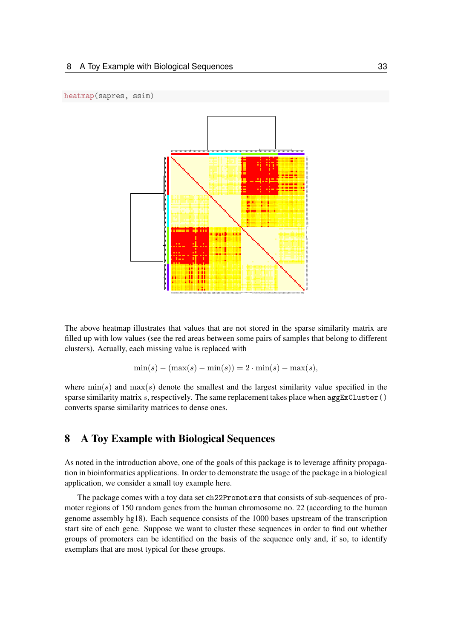



The above heatmap illustrates that values that are not stored in the sparse similarity matrix are filled up with low values (see the red areas between some pairs of samples that belong to different clusters). Actually, each missing value is replaced with

$$
\min(s) - (\max(s) - \min(s)) = 2 \cdot \min(s) - \max(s),
$$

where  $\min(s)$  and  $\max(s)$  denote the smallest and the largest similarity value specified in the sparse similarity matrix s, respectively. The same replacement takes place when  $\arg\text{ExCluster}()$ converts sparse similarity matrices to dense ones.

## 8 A Toy Example with Biological Sequences

As noted in the introduction above, one of the goals of this package is to leverage affinity propagation in bioinformatics applications. In order to demonstrate the usage of the package in a biological application, we consider a small toy example here.

The package comes with a toy data set ch22Promoters that consists of sub-sequences of promoter regions of 150 random genes from the human chromosome no. 22 (according to the human genome assembly hg18). Each sequence consists of the 1000 bases upstream of the transcription start site of each gene. Suppose we want to cluster these sequences in order to find out whether groups of promoters can be identified on the basis of the sequence only and, if so, to identify exemplars that are most typical for these groups.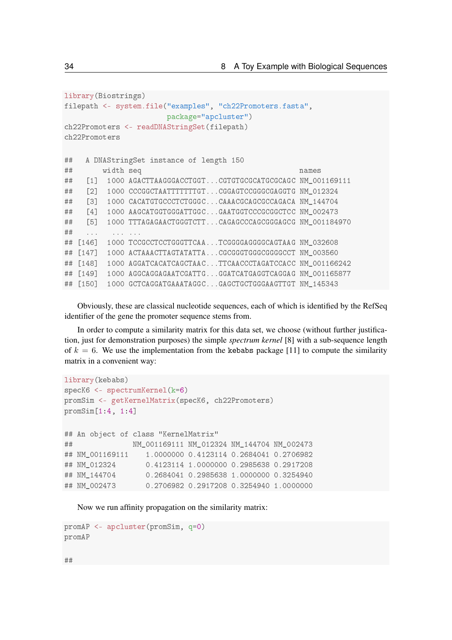```
library(Biostrings)
filepath <- system.file("examples", "ch22Promoters.fasta",
                      package="apcluster")
ch22Promoters <- readDNAStringSet(filepath)
ch22Promoters
## A DNAStringSet instance of length 150
★★ ✇✐❞t❤ s❡q ♥❛♠❡s
## [1] 1000 AGACTTAAGGGACCTGGT...CGTGTGCGCATGCGCAGC NM_001169111
## [2] 1000 CCCGGCTAATTTTTTTTGT...CGGAGTCCGGGCGAGGTG NM 012324
## [3] 1000 CACATGTGCCCTCTGGGC...CAAACGCAGCGCCAGACA NM_144704
## [4] 1000 AAGCATGGTGGGATTGGC...GAATGGTCCCGCGGCTCC NM 002473
## [5] 1000 TTTAGAGAACTGGGTCTT...CAGAGCCCAGCGGGAGCG NM 001184970
★★ ✳✳✳ ✳✳✳ ✳✳✳
## [146] 1000 TCCGCCTCCTGGGTTCAA...TCGGGGAGGGCAGTAAG NM_032608
## [147] 1000 ACTAAACTTAGTATATTA...CGCGGGTGGGCGGGCCCT NM_003560
## [148] 1000 AGGATCACATCAGCTAAC...TTCAACCCTAGATCCACC NM 001166242
## [149] 1000 AGGCAGGAGAATCGATTG...GGATCATGAGGTCAGGAG NM_001165877
## [150] 1000 GCTCAGGATGAAATAGGC...GAGCTGCTGGGAAGTTGT NM_145343
```
Obviously, these are classical nucleotide sequences, each of which is identified by the RefSeq identifier of the gene the promoter sequence stems from.

In order to compute a similarity matrix for this data set, we choose (without further justification, just for demonstration purposes) the simple *spectrum kernel* [8] with a sub-sequence length of  $k = 6$ . We use the implementation from the kebabs package [11] to compute the similarity matrix in a convenient way:

```
library(kebabs)
specK6 <- spectrumKernel(k=6)
promSim <- getKernelMatrix(specK6, ch22Promoters)
promSim[1:4, 1:4]## An object of class "KernelMatrix"
★★ ◆▼❴✵✵✶✶✻✾✶✶✶ ◆▼❴✵✶✷✸✷✹ ◆▼❴✶✹✹✼✵✹ ◆▼❴✵✵✷✹✼✸
## NM 001169111 1.0000000 0.4123114 0.2684041 0.2706982
★★ ◆▼❴✵✶✷✸✷✹ ✵✳✹✶✷✸✶✶✹ ✶✳✵✵✵✵✵✵✵ ✵✳✷✾✽✺✻✸✽ ✵✳✷✾✶✼✷✵✽
## NM 144704 0.2684041 0.2985638 1.0000000 0.3254940
## NM_002473 0.2706982 0.2917208 0.3254940 1.0000000
```
Now we run affinity propagation on the similarity matrix:

```
promAP <- apcluster(promSim, q=0)
promAP
```
 $#H$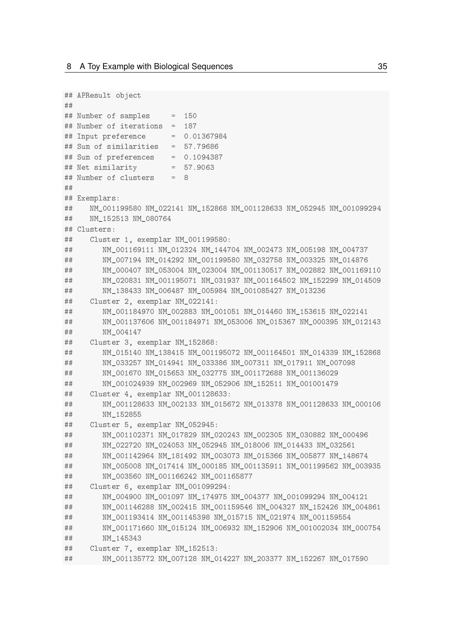```
## APResult object
#### Number of samples
                     = 150## Number of iterations = 187
## Input preference
                        = 0.01367984## Sum of similarities = 57.79686
## Sum of preferences
                      = 0.1094387## Net similarity
                       = 57.9063## Number of clusters
                       = 8#### Exemplars:
##NM 001199580 NM 022141 NM 152868 NM 001128633 NM 052945 NM 001099294
##NM_152513 NM_080764
## Clusters:
##Cluster 1, exemplar NM_001199580:
        NM_001169111 NM_012324 NM_144704 NM_002473 NM_005198 NM_004737
####NM 007194 NM 014292 NM 001199580 NM 032758 NM 003325 NM 014876
        NM_000407 NM_053004 NM_023004 NM_001130517 NM_002882 NM_001169110
##NM 020831 NM 001195071 NM 031937 NM 001164502 NM 152299 NM 014509
####NM 138433 NM 006487 NM 005984 NM 001085427 NM 013236
##Cluster 2, exemplar NM_022141:
##NM 001184970 NM 002883 NM 001051 NM 014460 NM 153615 NM 022141
##NM_001137606 NM_001184971 NM_053006 NM_015367 NM_000395 NM_012143
##NM 004147
##Cluster 3, exemplar NM_152868:
##NM_015140 NM_138415 NM_001195072 NM_001164501 NM_014339 NM_152868
##NM 033257 NM 014941 NM 033386 NM 007311 NM 017911 NM 007098
##NM_001670 NM_015653 NM_032775 NM_001172688 NM_001136029
##NM_001024939 NM_002969 NM_052906 NM_152511 NM_001001479
\# \#Cluster 4, exemplar NM_001128633:
        NM 001128633 NM 002133 NM 015672 NM 013378 NM 001128633 NM 000106
####NM 152855
      Cluster 5, exemplar NM_052945:
####NM 001102371 NM 017829 NM 020243 NM 002305 NM 030882 NM 000496
        NM 022720 NM 024053 NM 052945 NM 018006 NM 014433 NM 032561
####NM_001142964 NM_181492 NM_003073 NM_015366 NM_005877 NM_148674
##NM 005008 NM 017414 NM 000185 NM 001135911 NM 001199562 NM 003935
        NM 003560 NM 001166242 NM 001165877
####Cluster 6, exemplar NM 001099294:
        NM 004900 NM 001097 NM 174975 NM 004377 NM 001099294 NM 004121
##NM_001146288 NM_002415 NM_001159546 NM_004327 NM_152426 NM_004861
##
        NM_001193414 NM_001145398 NM_015715 NM_021974 NM_001159554
##NM_001171660 NM_015124 NM_006932 NM_152906 NM_001002034 NM_000754
####NM 145343
##Cluster 7, exemplar NM_152513:
##NM 001135772 NM 007128 NM 014227 NM 203377 NM 152267 NM 017590
```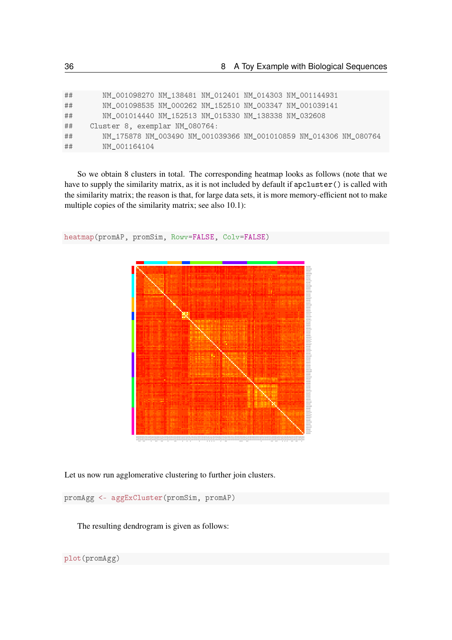| ##<br>NM_001098535 NM_000262 NM_152510 NM_003347 NM_001039141<br>##<br>NM 001014440 NM 152513 NM 015330 NM 138338 NM 032608<br>##<br>Cluster 8, exemplar NM_080764:<br>NM_175878 NM_003490 NM_001039366 NM_001010859 NM_014306 NM_080764<br>##<br>##<br>NM 001164104 | ## | NM 001098270 NM 138481 NM 012401 NM 014303 NM 001144931 |
|----------------------------------------------------------------------------------------------------------------------------------------------------------------------------------------------------------------------------------------------------------------------|----|---------------------------------------------------------|
|                                                                                                                                                                                                                                                                      |    |                                                         |
|                                                                                                                                                                                                                                                                      |    |                                                         |
|                                                                                                                                                                                                                                                                      |    |                                                         |
|                                                                                                                                                                                                                                                                      |    |                                                         |
|                                                                                                                                                                                                                                                                      |    |                                                         |

So we obtain 8 clusters in total. The corresponding heatmap looks as follows (note that we have to supply the similarity matrix, as it is not included by default if apcluster () is called with the similarity matrix; the reason is that, for large data sets, it is more memory-efficient not to make multiple copies of the similarity matrix; see also 10.1):



heatmap(promAP, promSim, Rowv=FALSE, Colv=FALSE)

Let us now run agglomerative clustering to further join clusters.

promAgg <- aggExCluster(promSim, promAP)

The resulting dendrogram is given as follows: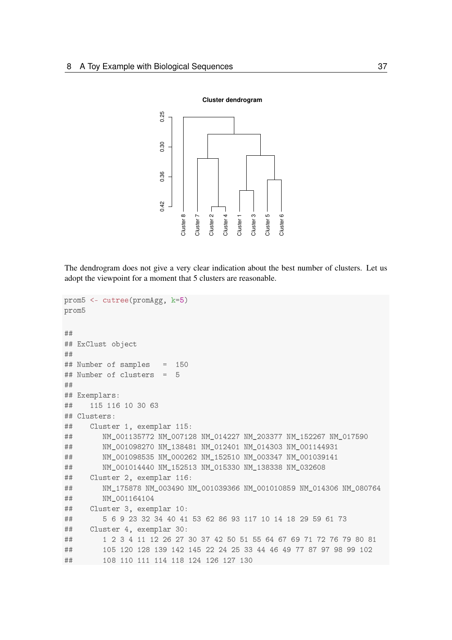

The dendrogram does not give a very clear indication about the best number of clusters. Let us adopt the viewpoint for a moment that 5 clusters are reasonable.

```
prom5 <- cutree(promAgg, k=5)
prom5
★★
## ExClust object
★★
## Number of samples = 150
## Number of clusters = 5
★★
## Exemplars:
## 115 116 10 30 63
## Clusters:
## Cluster 1, exemplar 115:
## NM_001135772 NM_007128 NM_014227 NM_203377 NM_152267 NM_017590
★★ ◆▼❴✵✵✶✵✾✽✷✼✵ ◆▼❴✶✸✽✹✽✶ ◆▼❴✵✶✷✹✵✶ ◆▼❴✵✶✹✸✵✸ ◆▼❴✵✵✶✶✹✹✾✸✶
## WM_001098535 NM_000262 NM_152510 NM_003347 NM_001039141
## WI_001014440 NM_152513 NM_015330 NM_138338 NM_032608
## Cluster 2, exemplar 116:
## • NM 175878 NM 003490 NM 001039366 NM 001010859 NM 014306 NM 080764
## NM_001164104
## Cluster 3, exemplar 10:
\## \quad \  5 \quad 6 \quad 9 \quad 23 \quad 32 \quad 34 \quad 40 \quad 41 \quad 53 \quad 62 \quad 86 \quad 93 \quad 117 \quad 10 \quad 14 \quad 18 \quad 29 \quad 59 \quad 61 \quad 73## Cluster 4, exemplar 30:
\# \# \frac{1}{2} \frac{3}{4} \frac{4}{11} \frac{1}{2} \frac{26}{7} \frac{27}{30} \frac{30}{7} \frac{30}{7} \frac{30}{7} \frac{27}{7} \frac{27}{7} \frac{79}{7} \frac{30}{7} \frac{81}{7}\## \quad \text{105 } 120 \quad 128 \quad 139 \quad 142 \quad 145 \quad 22 \quad 24 \quad 25 \quad 33 \quad 44 \quad 46 \quad 49 \quad 77 \quad 87 \quad 97 \quad 98 \quad 99 \quad 102★★ ✶✵✽ ✶✶✵ ✶✶✶ ✶✶✹ ✶✶✽ ✶✷✹ ✶✷✻ ✶✷✼ ✶✸✵
```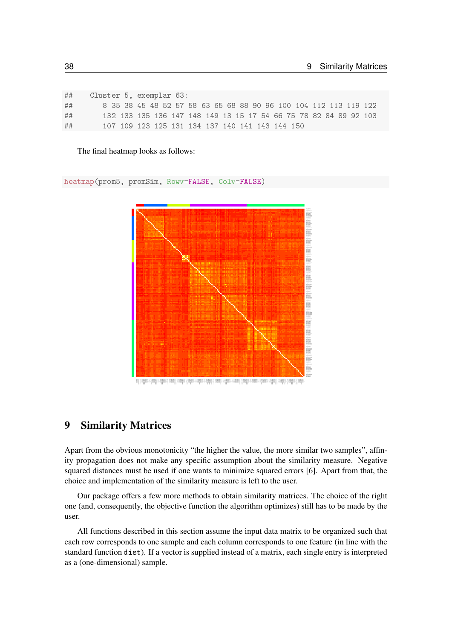| ## | Cluster 5, exemplar 63: |  |  |  |                                                 |  |                                                                  |  |
|----|-------------------------|--|--|--|-------------------------------------------------|--|------------------------------------------------------------------|--|
| ## |                         |  |  |  |                                                 |  | 8 35 38 45 48 52 57 58 63 65 68 88 90 96 100 104 112 113 119 122 |  |
| ## |                         |  |  |  |                                                 |  | 132 133 135 136 147 148 149 13 15 17 54 66 75 78 82 84 89 92 103 |  |
| ## |                         |  |  |  | 107 109 123 125 131 134 137 140 141 143 144 150 |  |                                                                  |  |

The final heatmap looks as follows:

heatmap(prom5, promSim, Rowv=FALSE, Colv=FALSE)



## 9 Similarity Matrices

Apart from the obvious monotonicity "the higher the value, the more similar two samples", affinity propagation does not make any specific assumption about the similarity measure. Negative squared distances must be used if one wants to minimize squared errors [6]. Apart from that, the choice and implementation of the similarity measure is left to the user.

Our package offers a few more methods to obtain similarity matrices. The choice of the right one (and, consequently, the objective function the algorithm optimizes) still has to be made by the user.

All functions described in this section assume the input data matrix to be organized such that each row corresponds to one sample and each column corresponds to one feature (in line with the standard function dist). If a vector is supplied instead of a matrix, each single entry is interpreted as a (one-dimensional) sample.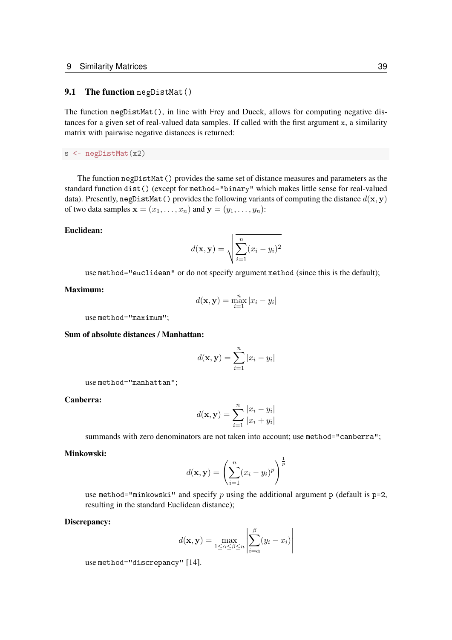#### 9.1 The function  $negDistMat()$

The function negDistMat(), in line with Frey and Dueck, allows for computing negative distances for a given set of real-valued data samples. If called with the first argument  $x$ , a similarity matrix with pairwise negative distances is returned:

s <- negDistMat(x2)

The function  $negDistMat()$  provides the same set of distance measures and parameters as the standard function dist () (except for method="binary" which makes little sense for real-valued data). Presently, negDistMat() provides the following variants of computing the distance  $d(x, y)$ of two data samples  $\mathbf{x} = (x_1, \dots, x_n)$  and  $\mathbf{y} = (y_1, \dots, y_n)$ :

#### Euclidean:

$$
d(\mathbf{x}, \mathbf{y}) = \sqrt{\sum_{i=1}^{n} (x_i - y_i)^2}
$$

use method="euclidean" or do not specify argument method (since this is the default);

#### Maximum:

$$
d(\mathbf{x}, \mathbf{y}) = \max_{i=1}^{n} |x_i - y_i|
$$

use method="maximum";

#### Sum of absolute distances / Manhattan:

$$
d(\mathbf{x}, \mathbf{y}) = \sum_{i=1}^{n} |x_i - y_i|
$$

use method="manhattan";

#### Canberra:

$$
d(\mathbf{x}, \mathbf{y}) = \sum_{i=1}^{n} \frac{|x_i - y_i|}{|x_i + y_i|}
$$

summands with zero denominators are not taken into account; use method="canberra";

#### Minkowski:

$$
d(\mathbf{x}, \mathbf{y}) = \left(\sum_{i=1}^{n} (x_i - y_i)^p\right)^{\frac{1}{p}}
$$

use method="minkowski" and specify p using the additional argument  $p$  (default is  $p=2$ , resulting in the standard Euclidean distance);

#### Discrepancy:

$$
d(\mathbf{x}, \mathbf{y}) = \max_{1 \le \alpha \le \beta \le n} \left| \sum_{i=\alpha}^{\beta} (y_i - x_i) \right|
$$

use method="discrepancy" [14].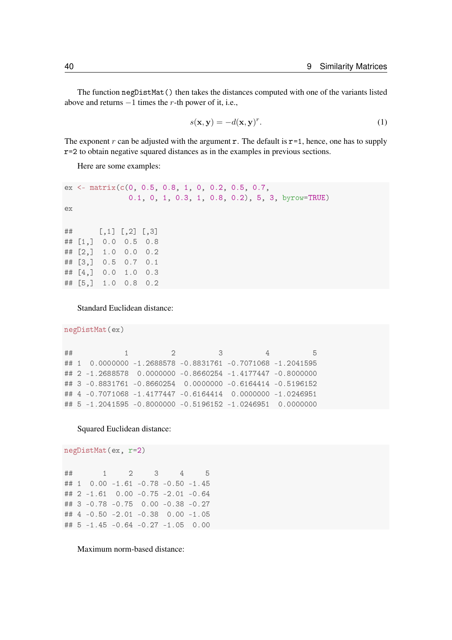The function negDistMat () then takes the distances computed with one of the variants listed above and returns  $-1$  times the r-th power of it, i.e.,

$$
s(\mathbf{x}, \mathbf{y}) = -d(\mathbf{x}, \mathbf{y})^r.
$$
 (1)

The exponent r can be adjusted with the argument r. The default is  $r = 1$ , hence, one has to supply r=2 to obtain negative squared distances as in the examples in previous sections.

Here are some examples:

```
ex \leftarrow \text{matrix}(c(0, 0.5, 0.8, 1, 0, 0.2, 0.5, 0.7,0.1, 0, 1, 0.3, 1, 0.8, 0.2), 5, 3, byrow=TRUE)
ex
\# \# [ , 1] [ , 2] [ , 3]## [1,] 0.0 0.5 0.8
\# \# [2, ] 1.0 0.0 0.2
## [3,] 0.5 0.7 0.1
\# \# \left[4, \right] 0.0 1.0 0.3
## [5,] 1.0 0.8 0.2
```
Standard Euclidean distance:

```
negDistMat(ex)
```

```
★★ ✶ ✷ ✸ ✹ ✺
## 1 0.0000000 -1.2688578 -0.8831761 -0.7071068 -1.2041595
## 2 -1.2688578 0.0000000 -0.8660254 -1.4177447 -0.8000000
## 3 -0.8831761 -0.8660254 0.0000000 -0.6164414 -0.5196152
## 4 -0.7071068 -1.4177447 -0.6164414 0.0000000 -1.0246951
## 5 -1.2041595 -0.8000000 -0.5196152 -1.0246951 0.0000000
```
Squared Euclidean distance:

negDistMat(ex, r=2)

★★ ✶ ✷ ✸ ✹ ✺ ## 1 0.00 -1.61 -0.78 -0.50 -1.45 ## 2 -1.61 0.00 -0.75 -2.01 -0.64 ## 3 -0.78 -0.75 0.00 -0.38 -0.27 ## 4 -0.50 -2.01 -0.38 0.00 -1.05 ##  $5 -1.45 -0.64 -0.27 -1.05 0.00$ 

Maximum norm-based distance: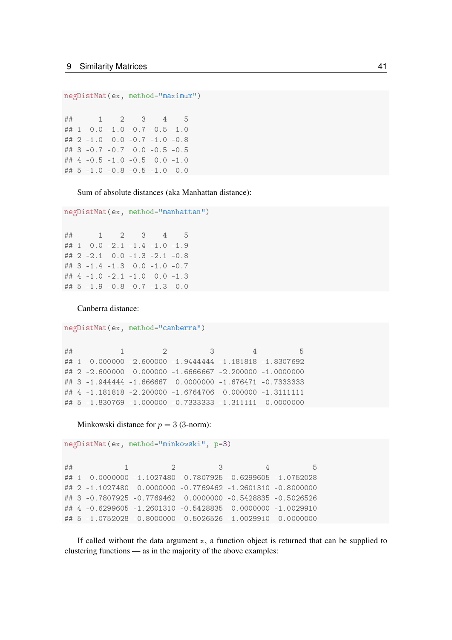```
negDistMat(ex, method="maximum")
```
 $#$  $\mathbf{1}$  $\overline{2}$ 3  $\overline{4}$  $\overline{5}$  $0.0 - 1.0 - 0.7 - 0.5 - 1.0$  $## 1$ ## 2 -1.0 0.0 -0.7 -1.0 -0.8 ## 3 -0.7 -0.7 0.0 -0.5 -0.5 ## 4 -0.5 -1.0 -0.5 0.0 -1.0 ## 5 -1.0 -0.8 -0.5 -1.0 0.0

Sum of absolute distances (aka Manhattan distance):

```
negDistMat(ex, method="manhattan")
```
 $##$  $\mathbf{1}$  $\overline{2}$ 3  $\overline{4}$ 5 ## 1  $0.0 -2.1 -1.4 -1.0 -1.9$ ## 2  $-2.1$  0.0  $-1.3$   $-2.1$   $-0.8$ ## 3  $-1.4$   $-1.3$  0.0  $-1.0$   $-0.7$ ##  $4 -1.0 -2.1 -1.0 0.0 -1.3$ ## 5 -1.9 -0.8 -0.7 -1.3 0.0

Canberra distance:

```
negDistMat(ex, method="canberra")
```

```
##\overline{2}3
              \overline{1}\overline{4}5
## 1 0.000000 -2.600000 -1.9444444 -1.181818 -1.8307692
## 2 -2.600000 0.000000 -1.6666667 -2.200000 -1.0000000
## 3 -1.944444 -1.666667 0.0000000 -1.676471 -0.7333333
## 4 -1.181818 -2.200000 -1.6764706 0.000000 -1.3111111
## 5 -1.830769 -1.000000 -0.7333333 -1.311111 0.0000000
```
Minkowski distance for  $p = 3$  (3-norm):

```
negDistMat(ex, method="minkowski", p=3)
```
 $##$  $\overline{\phantom{a}}$  $\overline{2}$ 3 5  $\overline{4}$ ## 1 0.0000000 -1.1027480 -0.7807925 -0.6299605 -1.0752028 ## 2 -1.1027480 0.0000000 -0.7769462 -1.2601310 -0.8000000 ## 3 -0.7807925 -0.7769462 0.0000000 -0.5428835 -0.5026526 ## 4 -0.6299605 -1.2601310 -0.5428835 0.0000000 -1.0029910 ## 5 -1.0752028 -0.8000000 -0.5026526 -1.0029910 0.0000000

If called without the data argument  $x$ , a function object is returned that can be supplied to clustering functions — as in the majority of the above examples: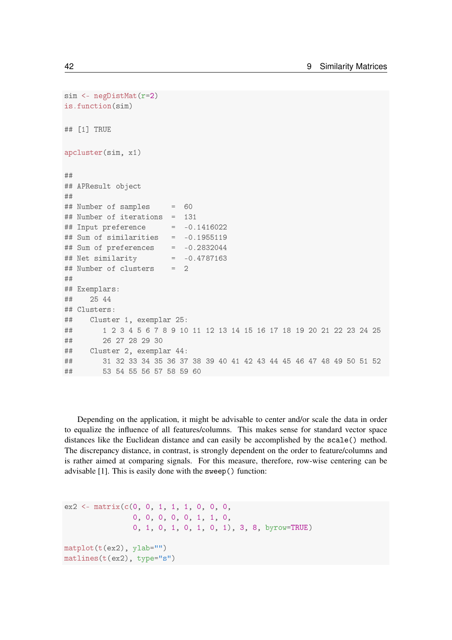```
sim <- negDistMat(r=2)
is.function(sim)
## [1] TRUE
apcluster(sim, x1)
★★
## APResult object
★★
## Number of samples = 60## Number of iterations = 131
## Input preference = -0.1416022## Sum of similarities = -0.1955119
## Sum of preferences = -0.2832044
## Net similarity = -0.4787163## Number of clusters = 2
★★
## Exemplars:
## 25 44
## Clusters:
## Cluster 1, exemplar 25:
★★ ✶ ✷ ✸ ✹ ✺ ✻ ✼ ✽ ✾ ✶✵ ✶✶ ✶✷ ✶✸ ✶✹ ✶✺ ✶✻ ✶✼ ✶✽ ✶✾ ✷✵ ✷✶ ✷✷ ✷✸ ✷✹ ✷✺
## 26 27 28 29 30
## Cluster 2, exemplar 44:
★★ ✸✶ ✸✷ ✸✸ ✸✹ ✸✺ ✸✻ ✸✼ ✸✽ ✸✾ ✹✵ ✹✶ ✹✷ ✹✸ ✹✹ ✹✺ ✹✻ ✹✼ ✹✽ ✹✾ ✺✵ ✺✶ ✺✷
\# \# \# \frac{1}{2} \frac{1}{2} \frac{1}{2} \frac{1}{2} \frac{1}{2} \frac{1}{2} \frac{1}{2} \frac{1}{2} \frac{1}{2} \frac{1}{2} \frac{1}{2} \frac{1}{2} \frac{1}{2} \frac{1}{2} \frac{1}{2} \frac{1}{2} \frac{1}{2} \frac{1}{2} \frac{1}{2} \frac{1}{2} \frac{1}{2
```
Depending on the application, it might be advisable to center and/or scale the data in order to equalize the influence of all features/columns. This makes sense for standard vector space distances like the Euclidean distance and can easily be accomplished by the scale() method. The discrepancy distance, in contrast, is strongly dependent on the order to feature/columns and is rather aimed at comparing signals. For this measure, therefore, row-wise centering can be advisable  $[1]$ . This is easily done with the sweep() function:

```
ex2 \leq -\frac{1}{x}(c(0, 0, 1, 1, 1, 0, 0, 0, 0, 0, 0))0, 0, 0, 0, 0, 0, 1, 1, 0,0, 1, 0, 1, 0, 1, 0, 1), 3, 8, byrow=TRUE)
matplot(t(ex2), ylab="")
matlines(t(ex2), type="s")
```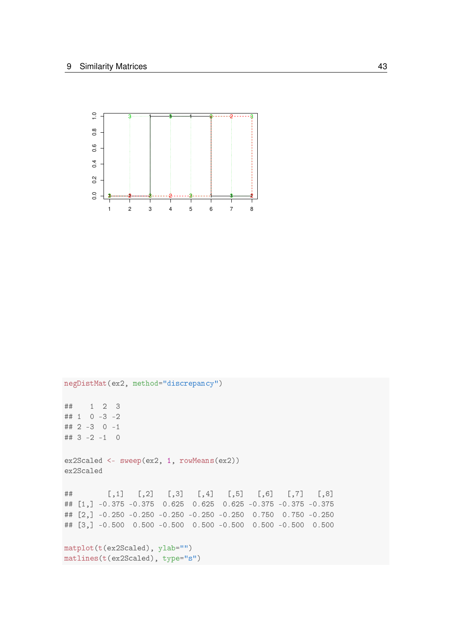

negDistMat(ex2, method="discrepancy") ## 1 2 3 ## 1 0 -3 -2 ## 2 -3 0 -1 ##  $3 - 2 - 1 = 0$ ex2Scaled <- sweep(ex2, 1, rowMeans(ex2)) ex2Scaled  $##$  $[0,1]$   $[0,2]$   $[0,3]$   $[0,4]$   $[0,5]$   $[0,6]$   $[0,7]$   $[0,8]$ ## [1,] -0.375 -0.375 0.625 0.625 0.625 -0.375 -0.375 -0.375 ## [2,] -0.250 -0.250 -0.250 -0.250 -0.250 0.750 0.750 -0.250 ## [3,] -0.500 0.500 -0.500 0.500 -0.500 0.500 -0.500 0.500  $matplot(t(ex2Scaled), ylab="")$ matlines(t(ex2Scaled), type="s")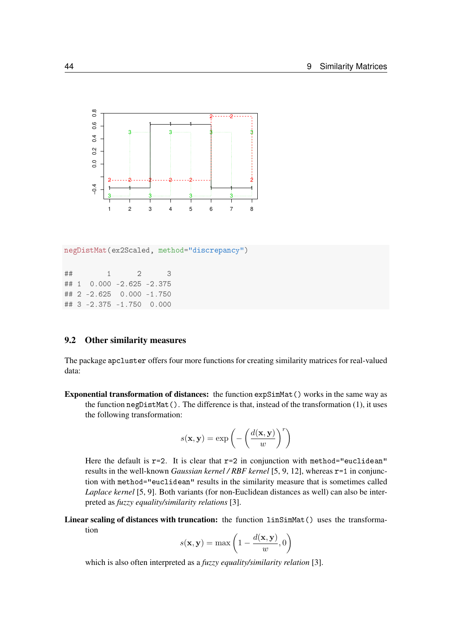

negDistMat(ex2Scaled, method="discrepancy")

★★ ✶ ✷ ✸ ## 1 0.000 -2.625 -2.375 ## 2 -2.625 0.000 -1.750 ## 3 -2.375 -1.750 0.000

#### 9.2 Other similarity measures

The package apcluster offers four more functions for creating similarity matrices for real-valued data:

Exponential transformation of distances: the function expSimMat () works in the same way as the function negDistMat(). The difference is that, instead of the transformation (1), it uses the following transformation:

$$
s(\mathbf{x}, \mathbf{y}) = \exp\left(-\left(\frac{d(\mathbf{x}, \mathbf{y})}{w}\right)^r\right)
$$

Here the default is  $r=2$ . It is clear that  $r=2$  in conjunction with method="euclidean" results in the well-known *Gaussian kernel / RBF kernel* [5, 9, 12], whereas r=1 in conjunction with method="euclidean" results in the similarity measure that is sometimes called *Laplace kernel* [5, 9]. Both variants (for non-Euclidean distances as well) can also be interpreted as *fuzzy equality/similarity relations* [3].

Linear scaling of distances with truncation: the function linSimMat() uses the transformation

$$
s(\mathbf{x}, \mathbf{y}) = \max\left(1 - \frac{d(\mathbf{x}, \mathbf{y})}{w}, 0\right)
$$

which is also often interpreted as a *fuzzy equality/similarity relation* [3].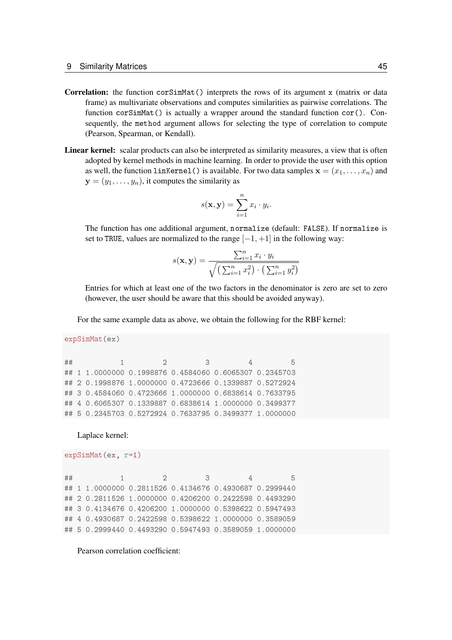- Correlation: the function  $\text{cosSimMat}(t)$  interprets the rows of its argument x (matrix or data frame) as multivariate observations and computes similarities as pairwise correlations. The function  $\text{corSimMat}()$  is actually a wrapper around the standard function  $\text{cor}(.)$ . Consequently, the method argument allows for selecting the type of correlation to compute (Pearson, Spearman, or Kendall).
- Linear kernel: scalar products can also be interpreted as similarity measures, a view that is often adopted by kernel methods in machine learning. In order to provide the user with this option as well, the function  $\text{linkernet}()$  is available. For two data samples  $\mathbf{x} = (x_1, \ldots, x_n)$  and  $y = (y_1, \ldots, y_n)$ , it computes the similarity as

$$
s(\mathbf{x}, \mathbf{y}) = \sum_{i=1}^{n} x_i \cdot y_i.
$$

The function has one additional argument, normalize (default: FALSE). If normalize is set to TRUE, values are normalized to the range  $[-1, +1]$  in the following way:

$$
s(\mathbf{x}, \mathbf{y}) = \frac{\sum_{i=1}^{n} x_i \cdot y_i}{\sqrt{\left(\sum_{i=1}^{n} x_i^2\right) \cdot \left(\sum_{i=1}^{n} y_i^2\right)}}
$$

Entries for which at least one of the two factors in the denominator is zero are set to zero (however, the user should be aware that this should be avoided anyway).

For the same example data as above, we obtain the following for the RBF kernel:

```
expSimMat(ex)
```

```
★★ ✶ ✷ ✸ ✹ ✺
★★ ✶ ✶✳✵✵✵✵✵✵✵ ✵✳✶✾✾✽✽✼✻ ✵✳✹✺✽✹✵✻✵ ✵✳✻✵✻✺✸✵✼ ✵✳✷✸✹✺✼✵✸
## 2 0.1998876 1.0000000 0.4723666 0.1339887 0.5272924
## 3 0.4584060 0.4723666 1.0000000 0.6838614 0.7633795
## 4 0.6065307 0.1339887 0.6838614 1.0000000 0.3499377
## 5 0.2345703 0.5272924 0.7633795 0.3499377 1.0000000
```
Laplace kernel:

```
expSimMat(ex, r=1)
```

```
★★ ✶ ✷ ✸ ✹ ✺
## 1 1.0000000 0.2811526 0.4134676 0.4930687 0.2999440
## 2 0.2811526 1.0000000 0.4206200 0.2422598 0.4493290
★★ ✸ ✵✳✹✶✸✹✻✼✻ ✵✳✹✷✵✻✷✵✵ ✶✳✵✵✵✵✵✵✵ ✵✳✺✸✾✽✻✷✷ ✵✳✺✾✹✼✹✾✸
## 4 0.4930687 0.2422598 0.5398622 1.0000000 0.3589059
## 5 0.2999440 0.4493290 0.5947493 0.3589059 1.0000000
```
Pearson correlation coefficient: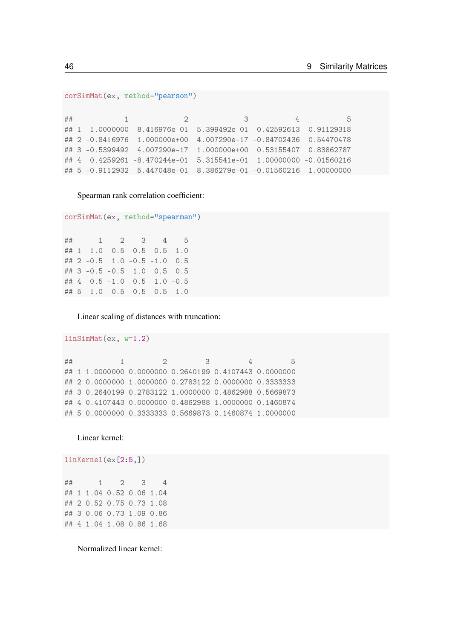```
corSimMat(ex, method="pearson")
```
 $##$  $\mathbf{1}$  $^{2}$ 3  $\overline{4}$ 5 ## 1 1.0000000 -8.416976e-01 -5.399492e-01 0.42592613 -0.91129318 ## 2 -0.8416976 1.000000e+00 4.007290e-17 -0.84702436 0.54470478 ## 3 -0.5399492 4.007290e-17 1.000000e+00 0.53155407 0.83862787 ## 4 0.4259261 -8.470244e-01 5.315541e-01 1.00000000 -0.01560216 ## 5 -0.9112932 5.447048e-01 8.386279e-01 -0.01560216 1.00000000

Spearman rank correlation coefficient:

```
corSimMat(ex, method="spearman")
```
 $\overline{4}$ 5  $##$  $\mathbf{1}$  $\overline{2}$ 3 ## 1 1.0 -0.5 -0.5 0.5 -1.0 ## 2 -0.5 1.0 -0.5 -1.0 0.5 ## 3 -0.5 -0.5 1.0 0.5 0.5 ## 4 0.5 -1.0 0.5 1.0 -0.5 ## 5 -1.0 0.5 0.5 -0.5 1.0

Linear scaling of distances with truncation:

```
##\overline{1}\overline{2}3
                                                \overline{4}5
## 1 1.0000000 0.0000000 0.2640199 0.4107443 0.0000000
## 2 0.0000000 1.0000000 0.2783122 0.0000000 0.3333333
## 3 0.2640199 0.2783122 1.0000000 0.4862988 0.5669873
## 4 0.4107443 0.0000000 0.4862988 1.0000000 0.1460874
## 5 0.0000000 0.3333333 0.5669873 0.1460874 1.0000000
```
Linear kernel:

 $linsimMat(ex, w=1.2)$ 

 $linkernel(ex[2:5,])$ 

| ## |  | 1 2 3 4                  |  |
|----|--|--------------------------|--|
|    |  | ## 1 1.04 0.52 0.06 1.04 |  |
|    |  | ## 2 0.52 0.75 0.73 1.08 |  |
|    |  | ## 3 0.06 0.73 1.09 0.86 |  |
|    |  | ## 4 1.04 1.08 0.86 1.68 |  |

Normalized linear kernel: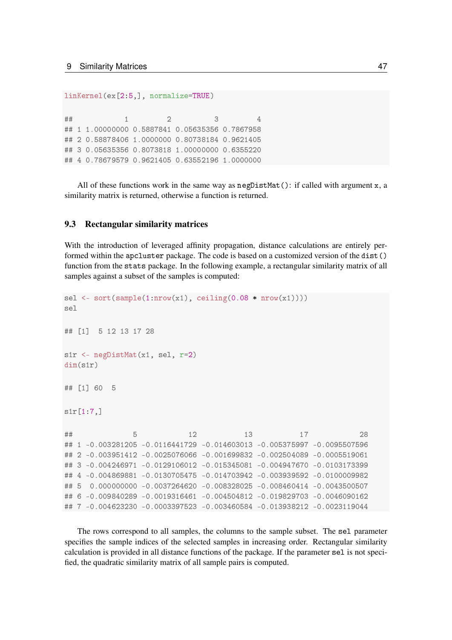linKernel(ex[2:5,], normalize=TRUE)

★★ ✶ ✷ ✸ ✹ ## 1 1.00000000 0.5887841 0.05635356 0.7867958 ## 2 0.58878406 1.0000000 0.80738184 0.9621405 ## 3 0.05635356 0.8073818 1.00000000 0.6355220 ## 4 0.78679579 0.9621405 0.63552196 1.0000000

All of these functions work in the same way as  $negDistMat()$ : if called with argument  $x$ , a similarity matrix is returned, otherwise a function is returned.

#### 9.3 Rectangular similarity matrices

With the introduction of leveraged affinity propagation, distance calculations are entirely performed within the apcluster package. The code is based on a customized version of the dist() function from the stats package. In the following example, a rectangular similarity matrix of all samples against a subset of the samples is computed:

```
sel <- sort(sample(1:nrow(x1), ceiling(0.08 * nrow(x1))))
sel
## [1] 5 12 13 17 28
sir <- negDistMat(x1, sel, r=2)
dim(s1r)
## [1] 60 5
\texttt{str}[1.7,]★★ ✺ ✶✷ ✶✸ ✶✼ ✷✽
## 1 -0.003281205 -0.0116441729 -0.014603013 -0.005375997 -0.0095507596
## 2 -0.003951412 -0.0025076066 -0.001699832 -0.002504089 -0.0005519061
## 3 -0.004246971 -0.0129106012 -0.015345081 -0.004947670 -0.0103173399
## 4 -0.004869881 -0.0130705475 -0.014703942 -0.003939592 -0.0100009982
## 5  0.000000000 -0.0037264620 -0.008328025 -0.008460414 -0.0043500507
★★ ✻ ✲✵✳✵✵✾✽✹✵✷✽✾ ✲✵✳✵✵✶✾✸✶✻✹✻✶ ✲✵✳✵✵✹✺✵✹✽✶✷ ✲✵✳✵✶✾✽✷✾✼✵✸ ✲✵✳✵✵✹✻✵✾✵✶✻✷
★★ ✼ ✲✵✳✵✵✹✻✷✸✷✸✵ ✲✵✳✵✵✵✸✸✾✼✺✷✸ ✲✵✳✵✵✸✹✻✵✺✽✹ ✲✵✳✵✶✸✾✸✽✷✶✷ ✲✵✳✵✵✷✸✶✶✾✵✹✹
```
The rows correspond to all samples, the columns to the sample subset. The sel parameter specifies the sample indices of the selected samples in increasing order. Rectangular similarity calculation is provided in all distance functions of the package. If the parameter sel is not specified, the quadratic similarity matrix of all sample pairs is computed.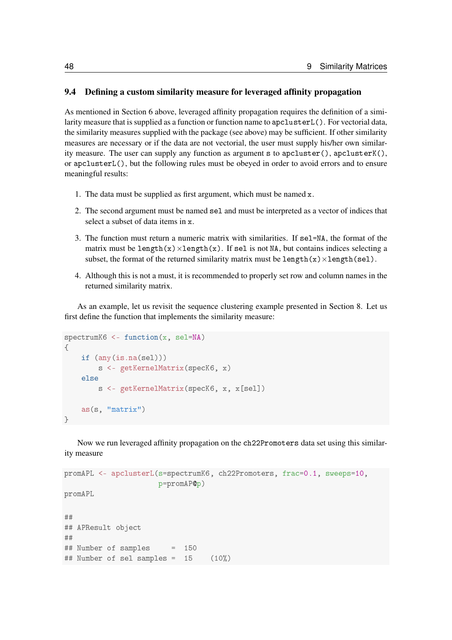#### 9.4 Defining a custom similarity measure for leveraged affinity propagation

As mentioned in Section 6 above, leveraged affinity propagation requires the definition of a similarity measure that is supplied as a function or function name to apclusterL(). For vectorial data, the similarity measures supplied with the package (see above) may be sufficient. If other similarity measures are necessary or if the data are not vectorial, the user must supply his/her own similarity measure. The user can supply any function as argument s to  $apcluster(), apcluster((),$ or apcluster  $L()$ , but the following rules must be obeved in order to avoid errors and to ensure meaningful results:

- 1. The data must be supplied as first argument, which must be named  $x$ .
- 2. The second argument must be named sel and must be interpreted as a vector of indices that select a subset of data items in  $\mathbf{x}$ .
- 3. The function must return a numeric matrix with similarities. If sel=NA, the format of the matrix must be length $(x) \times$ length $(x)$ . If sel is not NA, but contains indices selecting a subset, the format of the returned similarity matrix must be length $(x) \times$ length $(self)$ .
- 4. Although this is not a must, it is recommended to properly set row and column names in the returned similarity matrix.

As an example, let us revisit the sequence clustering example presented in Section 8. Let us first define the function that implements the similarity measure:

```
spectrumK6 <- function(x, sel=NA)
\sqrt{ }if (anv(is.na(self)))s <- getKernelMatrix(specK6, x)
    else
         s <- getKernelMatrix(specK6, x, x[sel])
    as(s, "matrix")
\}
```
Now we run leveraged affinity propagation on the ch22Promoters data set using this similarity measure

```
promAPL <- apclusterL(s=spectrumK6, ch22Promoters, frac=0.1, sweeps=10,
                     p=promAP@p)
promAPL
★★
## APResult object
★★
## Number of samples = 150\## Number of sel samples = 15 (10%)
```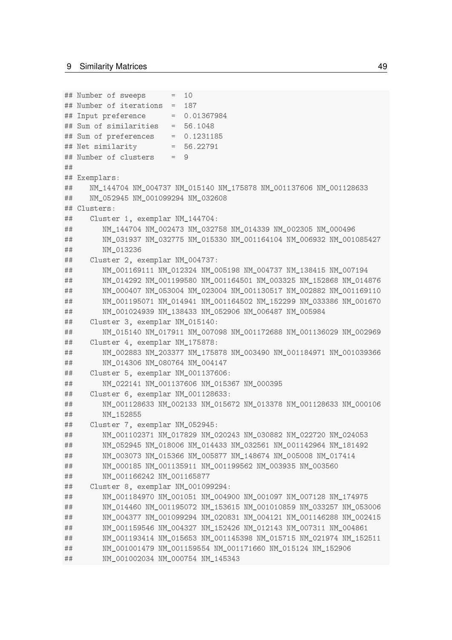```
## Number of sweeps = 10
## Number of iterations = 187
## Input preference = 0.01367984## Sum of similarities = 56.1048
## Sum of preferences
                      = 0.1231185## Net similarity
                  = 56.22791## Number of clusters
                      = 9#### Exemplars:
##NM 144704 NM 004737 NM 015140 NM 175878 NM 001137606 NM 001128633
     NM 052945 NM 001099294 NM 032608
#### Clusters:
##Cluster 1, exemplar NM_144704:
        NM_144704 NM_002473 NM_032758 NM_014339 NM_002305 NM_000496
####NM_031937 NM_032775 NM_015330 NM_001164104 NM_006932 NM_001085427
##NM 013236
##Cluster 2, exemplar NM 004737:
##NM_001169111 NM_012324 NM_005198 NM_004737 NM_138415 NM_007194
        NM 014292 NM 001199580 NM 001164501 NM 003325 NM 152868 NM 014876
####NM 000407 NM 053004 NM 023004 NM 001130517 NM 002882 NM 001169110
####NM 001024939 NM 138433 NM 052906 NM 006487 NM 005984
##Cluster 3, exemplar NM_015140:
        NM 015140 NM 017911 NM 007098 NM 001172688 NM 001136029 NM 002969
####Cluster 4, exemplar NM_175878:
##NM_002883 NM_203377 NM_175878 NM_003490 NM_001184971 NM_001039366
##NM 014306 NM 080764 NM 004147
##Cluster 5, exemplar NM_001137606:
##NM_022141 NM_001137606 NM_015367 NM_000395
\# \#Cluster 6, exemplar NM_001128633:
##NM 001128633 NM 002133 NM 015672 NM 013378 NM 001128633 NM 000106
##NM 152855
##Cluster 7, exemplar NM_052945:
##NM 001102371 NM 017829 NM 020243 NM 030882 NM 022720 NM 024053
        NM 052945 NM 018006 NM 014433 NM 032561 NM 001142964 NM 181492
####NM_003073 NM_015366 NM_005877 NM_148674 NM_005008 NM_017414
##NM_000185 NM_001135911 NM_001199562 NM_003935 NM_003560
##NM 001166242 NM 001165877
##Cluster 8, exemplar NM_001099294:
        NM 001184970 NM 001051 NM 004900 NM 001097 NM 007128 NM 174975
##NM_014460 NM_001195072 NM_153615 NM_001010859 NM_033257 NM_053006
##
        NM_004377 NM_001099294 NM_020831 NM_004121 NM_001146288 NM_002415
##
        NM_001159546 NM_004327 NM_152426 NM_012143 NM_007311 NM_004861
####NM_001193414 NM_015653 NM_001145398 NM_015715 NM_021974 NM_152511
        NM 001001479 NM 001159554 NM 001171660 NM 015124 NM 152906
####NM 001002034 NM 000754 NM 145343
```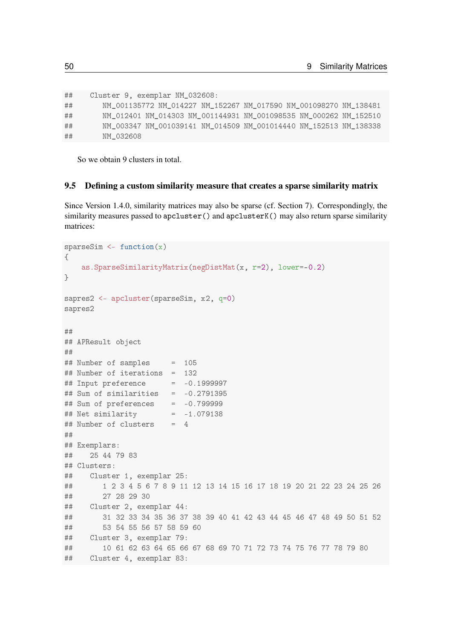| ## | Cluster 9, exemplar NM_032608:                                    |  |  |
|----|-------------------------------------------------------------------|--|--|
| ## | NM 001135772 NM 014227 NM 152267 NM 017590 NM 001098270 NM 138481 |  |  |
| ## | NM 012401 NM 014303 NM 001144931 NM 001098535 NM 000262 NM 152510 |  |  |
| ## | NM 003347 NM 001039141 NM 014509 NM 001014440 NM 152513 NM 138338 |  |  |
| ## | NM 032608                                                         |  |  |

So we obtain 9 clusters in total.

#### 9.5 Defining a custom similarity measure that creates a sparse similarity matrix

Since Version 1.4.0, similarity matrices may also be sparse (cf. Section 7). Correspondingly, the similarity measures passed to apcluster() and apclusterK() may also return sparse similarity matrices:

```
sparseSim <- function(x)
\{as.SparseSimilarityMatrix(negDistMat(x, r=2), lower=-0.2)
\rightarrowsapres2 <- apcluster(sparseSim, x2, q=0)
sapres2
★★
## APResult object
★★
## Number of samples = 105
## Number of iterations = 132
## Input preference = -0.1999997## Sum of similarities = -0.2791395
## Sum of preferences = -0.799999
## Net similarity = -1.079138## Number of clusters = 4★★
## Exemplars:
## 25 44 79 83
## Clusters:
## Cluster 1, exemplar 25:
★★ ✶ ✷ ✸ ✹ ✺ ✻ ✼ ✽ ✾ ✶✶ ✶✷ ✶✸ ✶✹ ✶✺ ✶✻ ✶✼ ✶✽ ✶✾ ✷✵ ✷✶ ✷✷ ✷✸ ✷✹ ✷✺ ✷✻
\frac{4}{4} \frac{4}{4} \frac{1}{4} 27 28 29 30
## Cluster 2, exemplar 44:
★★ ✸✶ ✸✷ ✸✸ ✸✹ ✸✺ ✸✻ ✸✼ ✸✽ ✸✾ ✹✵ ✹✶ ✹✷ ✹✸ ✹✹ ✹✺ ✹✻ ✹✼ ✹✽ ✹✾ ✺✵ ✺✶ ✺✷
\## 53 54 55 56 57 58 59 60
## Cluster 3, exemplar 79:
\# \# \frac{10}{61} \frac{61}{62} \frac{63}{64} \frac{65}{66} \frac{67}{68} \frac{68}{69} \frac{70}{71} \frac{71}{72} \frac{73}{73} \frac{74}{75} \frac{76}{77} \frac{77}{78} \frac{79}{80}## Cluster 4, exemplar 83:
```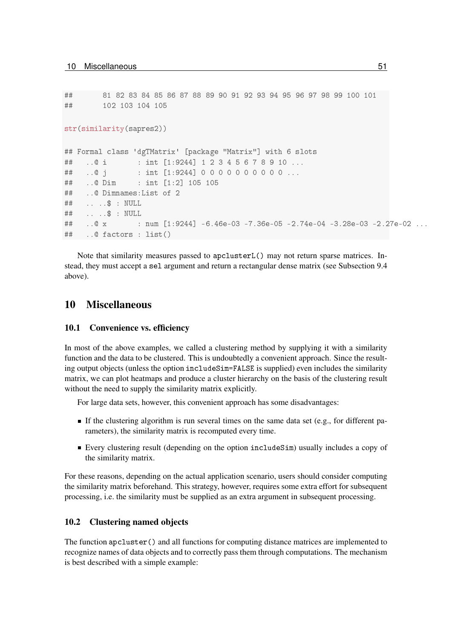```
★★ ✽✶ ✽✷ ✽✸ ✽✹ ✽✺ ✽✻ ✽✼ ✽✽ ✽✾ ✾✵ ✾✶ ✾✷ ✾✸ ✾✹ ✾✺ ✾✻ ✾✼ ✾✽ ✾✾ ✶✵✵ ✶✵✶
## 102 103 104 105
str(similarity(sapres2))
## Formal class 'dgTMatrix' [package "Matrix"] with 6 slots
## ..@ i : int [1:9244] 1 2 3 4 5 6 7 8 9 10 ...
## ..@ j : int [1:9244] 00000000000...
## ..@ Dim : int [1:2] 105 105
## ..@ Dimnames:List of 2
## . . . $ : NULL
\# \# , , , , \$\; : \; NUI.I.
## ..@ x 		: num [1:9244] -6.46e-03 -7.36e-05 -2.74e-04 -3.28e-03 -2.27e-02 ...
## ..@ factors : list()
```
Note that similarity measures passed to  $apclusterL()$  may not return sparse matrices. Instead, they must accept a sel argument and return a rectangular dense matrix (see Subsection 9.4) above).

## 10 Miscellaneous

#### 10.1 Convenience vs. efficiency

In most of the above examples, we called a clustering method by supplying it with a similarity function and the data to be clustered. This is undoubtedly a convenient approach. Since the resulting output objects (unless the option includeSim=FALSE is supplied) even includes the similarity matrix, we can plot heatmaps and produce a cluster hierarchy on the basis of the clustering result without the need to supply the similarity matrix explicitly.

For large data sets, however, this convenient approach has some disadvantages:

- If the clustering algorithm is run several times on the same data set (e.g., for different parameters), the similarity matrix is recomputed every time.
- Every clustering result (depending on the option include Sim) usually includes a copy of the similarity matrix.

For these reasons, depending on the actual application scenario, users should consider computing the similarity matrix beforehand. This strategy, however, requires some extra effort for subsequent processing, i.e. the similarity must be supplied as an extra argument in subsequent processing.

#### 10.2 Clustering named objects

The function  $\text{apcluster}()$  and all functions for computing distance matrices are implemented to recognize names of data objects and to correctly pass them through computations. The mechanism is best described with a simple example: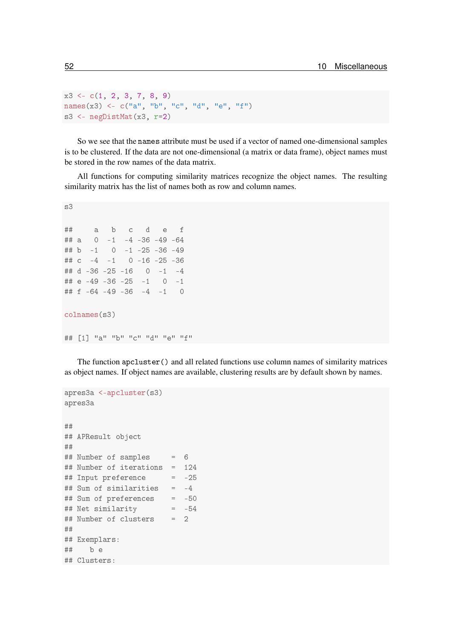```
x3 \leftarrow c(1, 2, 3, 7, 8, 9)names(x3) < -c("a", "b", "c", "d", "e", "e", "f")s3 <- negDistMat(x3, r=2)
```
So we see that the names attribute must be used if a vector of named one-dimensional samples is to be clustered. If the data are not one-dimensional (a matrix or data frame), object names must be stored in the row names of the data matrix.

All functions for computing similarity matrices recognize the object names. The resulting similarity matrix has the list of names both as row and column names.

```
s<sup>3</sup>
★★ ❛ ❜ ❝ ❞ ❡ ❢
\# \# a 0 -1 -4 -36 -49 -64## b -1 0 -1 -25 -36 -49
## c -4 -1 0 -16 -25 -36
## d -36 -25 -16 0 -1 -4
\# \# e -49 -36 -25 -1 0 -1
## f -64 -49 -36 -4 -1 0
colnames(s3)
★★ ❬✶❪ ✧❛✧ ✧❜✧ ✧❝✧ ✧❞✧ ✧❡✧ ✧❢✧
```
The function apcluster () and all related functions use column names of similarity matrices as object names. If object names are available, clustering results are by default shown by names.

```
apres3a <-apcluster(s3)
apres3a
★★
## APResult object
★★
## Number of samples = 6
## Number of iterations = 124
## Input preference = -25## Sum of similarities = -4## Sum of preferences = -50
## Net similarity = -54
## Number of clusters = 2
★★
## Exemplars:
## be
## Clusters:
```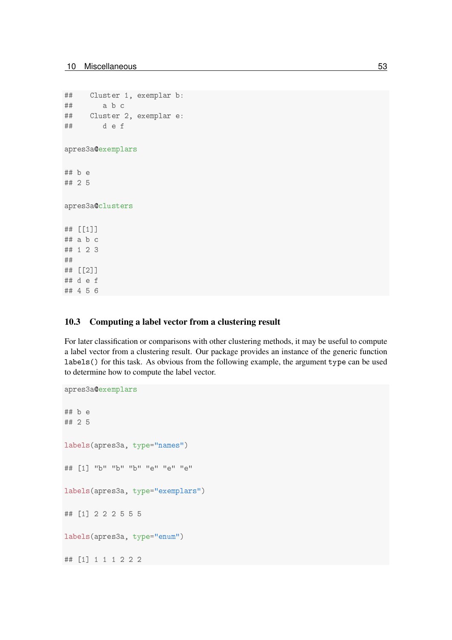★★ ✹ ✺ ✻

```
## Cluster 1, exemplar b:
## a b c
## Cluster 2, exemplar e:
## def
apres3a@exemplars
## b e
## 2 5
apres3a@clusters
★★ ❬❬✶❪❪
## a b c
## 1 2 3
★★
★★ ❬❬✷❪❪
## d e f
```
#### 10.3 Computing a label vector from a clustering result

For later classification or comparisons with other clustering methods, it may be useful to compute a label vector from a clustering result. Our package provides an instance of the generic function labels () for this task. As obvious from the following example, the argument type can be used to determine how to compute the label vector.

```
apres3a@exemplars
## b e
## 2 5
labels(apres3a, type="names")
★★ ❬✶❪ ✧❜✧ ✧❜✧ ✧❜✧ ✧❡✧ ✧❡✧ ✧❡✧
labels(apres3a, type="exemplars")
★★ ❬✶❪ ✷ ✷ ✷ ✺ ✺ ✺
labels(apres3a, type="enum")
★★ ❬✶❪ ✶ ✶ ✶ ✷ ✷ ✷
```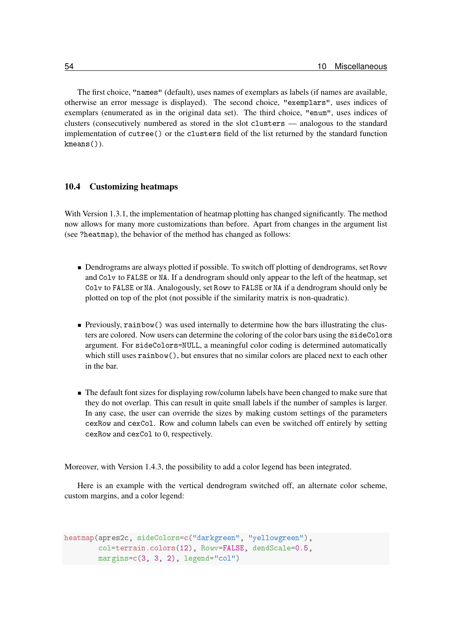The first choice, "names" (default), uses names of exemplars as labels (if names are available, otherwise an error message is displayed). The second choice, "exemplars", uses indices of exemplars (enumerated as in the original data set). The third choice, "enum", uses indices of clusters (consecutively numbered as stored in the slot clusters  $-$  analogous to the standard implementation of cutree () or the clusters field of the list returned by the standard function kmeans()).

#### 10.4 Customizing heatmaps

With Version 1.3.1, the implementation of heatmap plotting has changed significantly. The method now allows for many more customizations than before. Apart from changes in the argument list (see ?heatmap), the behavior of the method has changed as follows:

- Dendrograms are always plotted if possible. To switch off plotting of dendrograms, set Rowv and Colv to FALSE or NA. If a dendrogram should only appear to the left of the heatmap, set Colv to FALSE or NA. Analogously, set Rowy to FALSE or NA if a dendrogram should only be plotted on top of the plot (not possible if the similarity matrix is non-quadratic).
- Previously, rainbow () was used internally to determine how the bars illustrating the clusters are colored. Now users can determine the coloring of the color bars using the sideColors argument. For sideColors=NULL, a meaningful color coding is determined automatically which still uses rainbow  $($ ), but ensures that no similar colors are placed next to each other in the bar.
- The default font sizes for displaying row/column labels have been changed to make sure that they do not overlap. This can result in quite small labels if the number of samples is larger. In any case, the user can override the sizes by making custom settings of the parameters cexRow and cexCo1. Row and column labels can even be switched off entirely by setting cexRow and cexCo1 to 0, respectively.

Moreover, with Version 1.4.3, the possibility to add a color legend has been integrated.

Here is an example with the vertical dendrogram switched off, an alternate color scheme, custom margins, and a color legend:

```
heatmap(apres2c, sideColors=c("darkgreen", "yellowgreen"),
        col=terrain.colors(12), Rowv=FALSE, dendScale=0.5,
        margins=c(3, 3, 2), legend="col")
```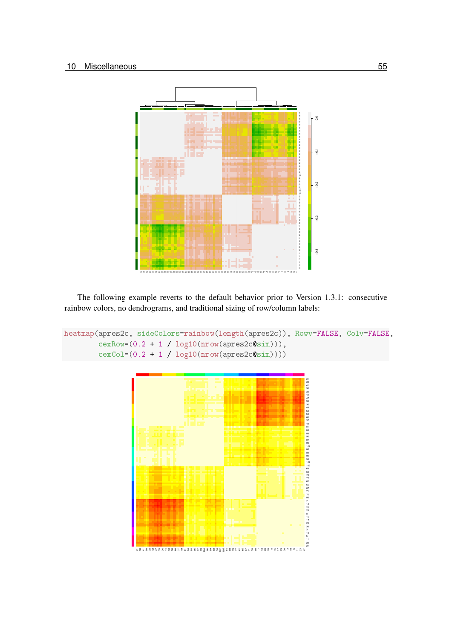

The following example reverts to the default behavior prior to Version 1.3.1: consecutive rainbow colors, no dendrograms, and traditional sizing of row/column labels:

```
heatmap(apres2c, sideColors=rainbow(length(apres2c)), Rowv=FALSE, Colv=FALSE,
        cexRow=(0.2 + 1 / log10(nrow(apres2c@sim))),
        cexCol=(0.2 + 1 / log10(nrow(apres2c@sim))))
```
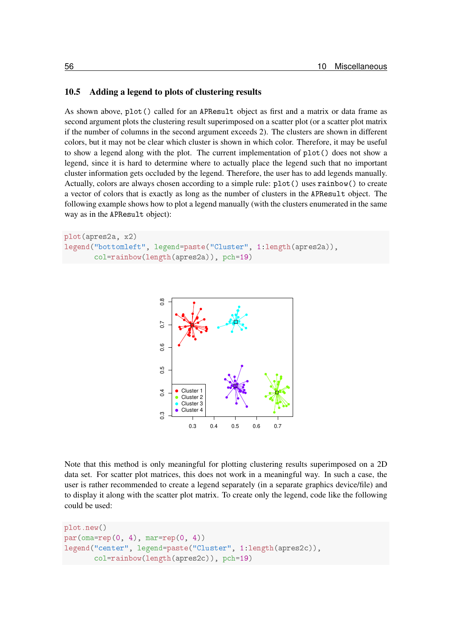#### 10.5 Adding a legend to plots of clustering results

As shown above, plot() called for an APResult object as first and a matrix or data frame as second argument plots the clustering result superimposed on a scatter plot (or a scatter plot matrix if the number of columns in the second argument exceeds 2). The clusters are shown in different colors, but it may not be clear which cluster is shown in which color. Therefore, it may be useful to show a legend along with the plot. The current implementation of  $plot()$  does not show a legend, since it is hard to determine where to actually place the legend such that no important cluster information gets occluded by the legend. Therefore, the user has to add legends manually. Actually, colors are always chosen according to a simple rule:  $plot()$  uses rainbow() to create a vector of colors that is exactly as long as the number of clusters in the APResult object. The following example shows how to plot a legend manually (with the clusters enumerated in the same way as in the APResult object):

```
plot(apres2a, x2)
legend("bottomleft", legend=paste("Cluster", 1:length(apres2a)),
       col=rainbow(length(apres2a)), pch=19)
```


Note that this method is only meaningful for plotting clustering results superimposed on a 2D data set. For scatter plot matrices, this does not work in a meaningful way. In such a case, the user is rather recommended to create a legend separately (in a separate graphics device/file) and to display it along with the scatter plot matrix. To create only the legend, code like the following could be used:

```
plot.new()
par(oma=rep(0, 4), mar=rep(0, 4))legend("center", legend=paste("Cluster", 1:length(apres2c)),
       col=rainbow(length(apres2c)), pch=19)
```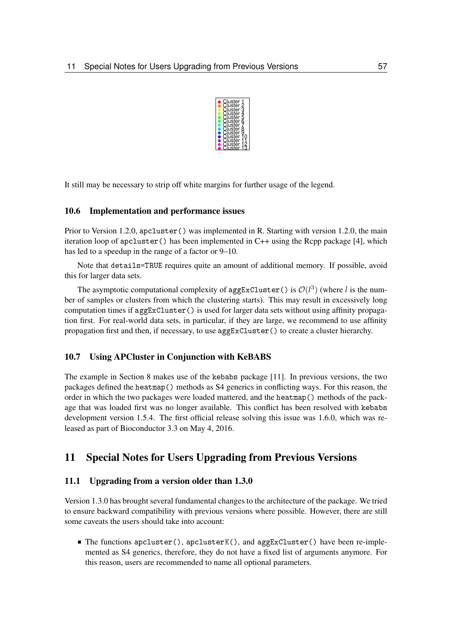

It still may be necessary to strip off white margins for further usage of the legend.

#### 10.6 Implementation and performance issues

Prior to Version 1.2.0,  $apcluster()$  was implemented in R. Starting with version 1.2.0, the main iteration loop of  $apcluster()$  has been implemented in C++ using the Rcpp package [4], which has led to a speedup in the range of a factor or 9–10.

Note that details=TRUE requires quite an amount of additional memory. If possible, avoid this for larger data sets.

The asymptotic computational complexity of aggExCluster () is  $\mathcal{O}(l^3)$  (where l is the number of samples or clusters from which the clustering starts). This may result in excessively long computation times if  $aggExCluster()$  is used for larger data sets without using affinity propagation first. For real-world data sets, in particular, if they are large, we recommend to use affinity propagation first and then, if necessary, to use  $\arg\texttt{ExCluster}()$  to create a cluster hierarchy.

#### 10.7 Using APCluster in Conjunction with KeBABS

The example in Section 8 makes use of the kebabs package [11]. In previous versions, the two packages defined the heatmap() methods as  $S4$  generics in conflicting ways. For this reason, the order in which the two packages were loaded mattered, and the heatmap() methods of the package that was loaded first was no longer available. This conflict has been resolved with kebabs development version 1.5.4. The first official release solving this issue was 1.6.0, which was released as part of Bioconductor 3.3 on May 4, 2016.

## 11 Special Notes for Users Upgrading from Previous Versions

#### 11.1 Upgrading from a version older than 1.3.0

Version 1.3.0 has brought several fundamental changes to the architecture of the package. We tried to ensure backward compatibility with previous versions where possible. However, there are still some caveats the users should take into account:

■ The functions apcluster(), apclusterK(), and aggExCluster() have been re-implemented as S4 generics, therefore, they do not have a fixed list of arguments anymore. For this reason, users are recommended to name all optional parameters.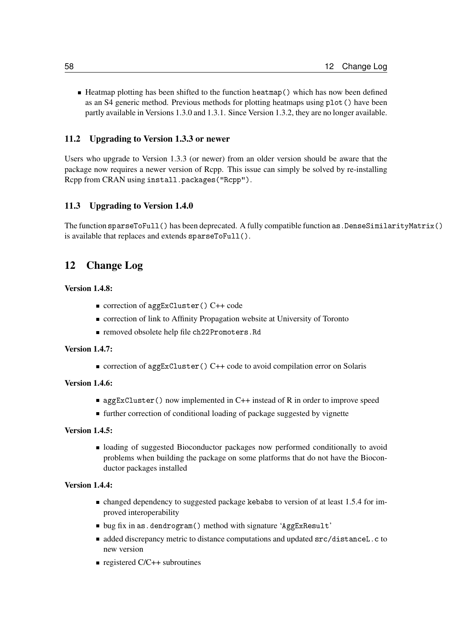■ Heatmap plotting has been shifted to the function heatmap () which has now been defined as an S4 generic method. Previous methods for plotting heatmaps using  $plot()$  have been partly available in Versions 1.3.0 and 1.3.1. Since Version 1.3.2, they are no longer available.

#### 11.2 Upgrading to Version 1.3.3 or newer

Users who upgrade to Version 1.3.3 (or newer) from an older version should be aware that the package now requires a newer version of Rcpp. This issue can simply be solved by re-installing Rcpp from CRAN using install.packages ("Rcpp").

#### 11.3 Upgrading to Version 1.4.0

The function sparseToFull() has been deprecated. A fully compatible function as . DenseSimilarityMatrix() is available that replaces and extends sparseToFull().

## 12 Change Log

#### Version 1.4.8:

- correction of aggExCluster() C++ code
- correction of link to Affinity Propagation website at University of Toronto
- removed obsolete help file ch22Promoters. Rd

#### Version 1.4.7:

■ correction of aggExCluster () C++ code to avoid compilation error on Solaris

#### Version 1.4.6:

- aggExCluster() now implemented in C++ instead of R in order to improve speed
- further correction of conditional loading of package suggested by vignette

#### Version 1.4.5:

loading of suggested Bioconductor packages now performed conditionally to avoid problems when building the package on some platforms that do not have the Bioconductor packages installed

#### Version 1.4.4:

- changed dependency to suggested package kebabs to version of at least 1.5.4 for improved interoperability
- bug fix in as.dendrogram() method with signature 'AggExResult'
- added discrepancy metric to distance computations and updated src/distanceL.c to new version
- registered  $C/C++$  subroutines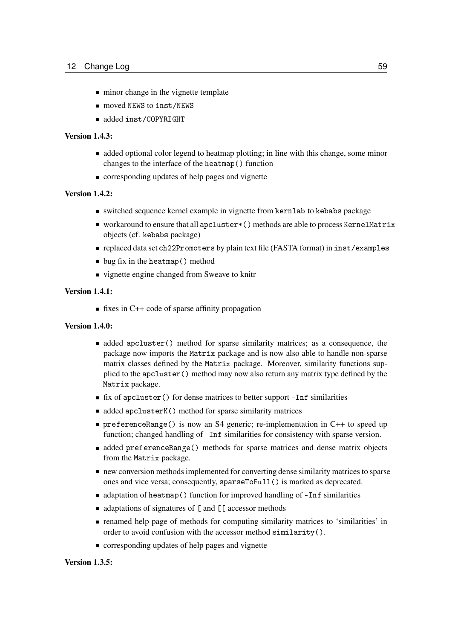- minor change in the vignette template
- moved NEWS to inst/NEWS
- added inst/COPYRIGHT

#### Version 1.4.3:

- added optional color legend to heatmap plotting; in line with this change, some minor changes to the interface of the heatmap() function
- **corresponding updates of help pages and vignette**

#### Version 1.4.2:

- switched sequence kernel example in vignette from kernlab to kebabs package
- workaround to ensure that all apcluster \* () methods are able to process KernelMatrix objects (cf. kebabs package)
- replaced data set ch22Promoters by plain text file (FASTA format) in inst/examples
- bug fix in the heatmap() method
- vignette engine changed from Sweave to knitr

#### Version 1.4.1:

 $\blacksquare$  fixes in C++ code of sparse affinity propagation

#### Version 1.4.0:

- **•** added apcluster() method for sparse similarity matrices; as a consequence, the package now imports the Matrix package and is now also able to handle non-sparse matrix classes defined by the Matrix package. Moreover, similarity functions supplied to the apcluster () method may now also return any matrix type defined by the Matrix package.
- fix of apcluster () for dense matrices to better support -Inf similarities
- added apclusterK() method for sparse similarity matrices
- **preferenceRange()** is now an S4 generic; re-implementation in C++ to speed up function; changed handling of -Inf similarities for consistency with sparse version.
- **added preferenceRange()** methods for sparse matrices and dense matrix objects from the Matrix package.
- new conversion methods implemented for converting dense similarity matrices to sparse ones and vice versa; consequently, sparseToFull() is marked as deprecated.
- adaptation of heatmap() function for improved handling of -Inf similarities
- adaptations of signatures of [ and [ [ accessor methods
- renamed help page of methods for computing similarity matrices to 'similarities' in order to avoid confusion with the accessor method similarity().
- corresponding updates of help pages and vignette

#### Version 1.3.5: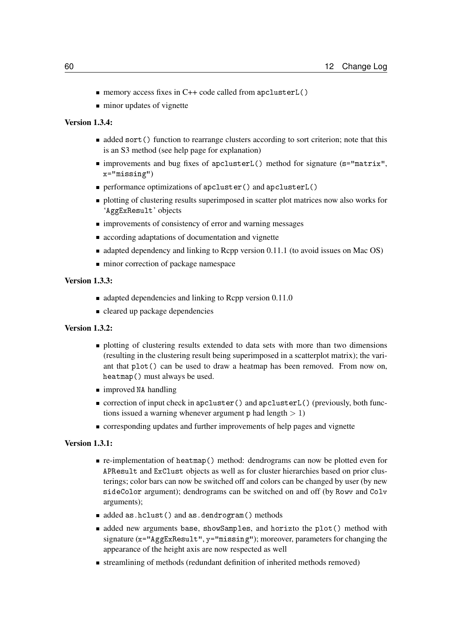- memory access fixes in C++ code called from apclusterL()
- minor updates of vignette

#### Version 1.3.4:

- **added sort** () function to rearrange clusters according to sort criterion; note that this is an S3 method (see help page for explanation)
- improvements and bug fixes of apclusterL() method for signature (s="matrix". x="missing")
- performance optimizations of apcluster() and apclusterL()
- **plotting of clustering results superimposed in scatter plot matrices now also works for** 'AggExResult' objects
- **IMPROVEMENTS** of consistency of error and warning messages
- **according adaptations of documentation and vignette**
- $\blacksquare$  adapted dependency and linking to Rcpp version 0.11.1 (to avoid issues on Mac OS)
- minor correction of package namespace

#### Version 1.3.3:

- $\blacksquare$  adapted dependencies and linking to Rcpp version 0.11.0
- cleared up package dependencies

#### Version 1.3.2:

- **plotting of clustering results extended to data sets with more than two dimensions** (resulting in the clustering result being superimposed in a scatterplot matrix); the variant that plot() can be used to draw a heatmap has been removed. From now on, heatmap() must always be used.
- improved NA handling
- correction of input check in apcluster() and apclusterL() (previously, both functions issued a warning whenever argument  $p$  had length  $> 1$ )
- corresponding updates and further improvements of help pages and vignette

#### Version 1.3.1:

- re-implementation of heatmap () method: dendrograms can now be plotted even for APResult and ExClust objects as well as for cluster hierarchies based on prior clusterings; color bars can now be switched off and colors can be changed by user (by new sideColor argument); dendrograms can be switched on and off (by Rowy and Colv arguments);
- added as.hclust() and as.dendrogram() methods
- added new arguments base, showSamples, and horizto the plot() method with signature ( $x =$ "AggExResult",  $y =$ "missing"); moreover, parameters for changing the appearance of the height axis are now respected as well
- streamlining of methods (redundant definition of inherited methods removed)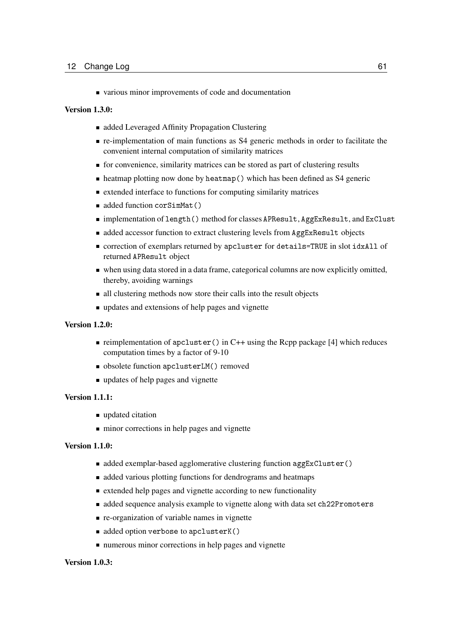various minor improvements of code and documentation

#### Version 1.3.0:

- added Leveraged Affinity Propagation Clustering
- re-implementation of main functions as S4 generic methods in order to facilitate the convenient internal computation of similarity matrices
- for convenience, similarity matrices can be stored as part of clustering results
- heatmap plotting now done by heatmap() which has been defined as S4 generic
- $\blacksquare$  extended interface to functions for computing similarity matrices
- added function corSimMat()
- implementation of length () method for classes APResult, AggExResult, and ExClust
- added accessor function to extract clustering levels from AggExResult objects
- correction of exemplars returned by apcluster for details=TRUE in slot idxAll of returned APResult object
- when using data stored in a data frame, categorical columns are now explicitly omitted, thereby, avoiding warnings
- all clustering methods now store their calls into the result objects
- updates and extensions of help pages and vignette

#### Version 1.2.0:

- reimplementation of  $apcluster()$  in C++ using the Rcpp package [4] which reduces computation times by a factor of 9-10
- obsolete function apclusterLM() removed
- updates of help pages and vignette

#### Version 1.1.1:

- updated citation
- $\blacksquare$  minor corrections in help pages and vignette

#### Version 1.1.0:

- added exemplar-based agglomerative clustering function aggExCluster()
- discussed various plotting functions for dendrograms and heatmaps
- extended help pages and vignette according to new functionality
- added sequence analysis example to vignette along with data set ch22Promoters
- **re-organization of variable names in vignette**
- added option verbose to apclusterK()
- numerous minor corrections in help pages and vignette

#### Version 1.0.3: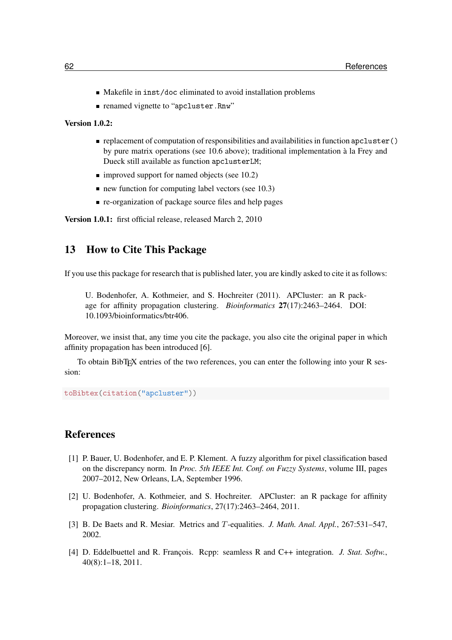- Makefile in inst/doc eliminated to avoid installation problems
- renamed vignette to "apcluster, Rnw"

#### Version 1.0.2:

- replacement of computation of responsibilities and availabilities in function  $apcluster()$ by pure matrix operations (see 10.6 above); traditional implementation à la Frey and Dueck still available as function apclusterLM;
- $\blacksquare$  improved support for named objects (see 10.2)
- $\blacksquare$  new function for computing label vectors (see 10.3)
- **re-organization of package source files and help pages**

Version 1.0.1: first official release, released March 2, 2010

## 13 How to Cite This Package

If you use this package for research that is published later, you are kindly asked to cite it as follows:

U. Bodenhofer, A. Kothmeier, and S. Hochreiter (2011). APCluster: an R package for affinity propagation clustering. *Bioinformatics* 27(17):2463–2464. DOI: 10.1093/bioinformatics/btr406.

Moreover, we insist that, any time you cite the package, you also cite the original paper in which affinity propagation has been introduced [6].

To obtain BibTEX entries of the two references, you can enter the following into your R session:

toBibtex(citation("apcluster"))

## References

- [1] P. Bauer, U. Bodenhofer, and E. P. Klement. A fuzzy algorithm for pixel classification based on the discrepancy norm. In *Proc. 5th IEEE Int. Conf. on Fuzzy Systems*, volume III, pages 2007–2012, New Orleans, LA, September 1996.
- [2] U. Bodenhofer, A. Kothmeier, and S. Hochreiter. APCluster: an R package for affinity propagation clustering. *Bioinformatics*, 27(17):2463–2464, 2011.
- [3] B. De Baets and R. Mesiar. Metrics and T-equalities. *J. Math. Anal. Appl.*, 267:531–547, 2002.
- [4] D. Eddelbuettel and R. François. Rcpp: seamless R and C++ integration. *J. Stat. Softw.*, 40(8):1–18, 2011.